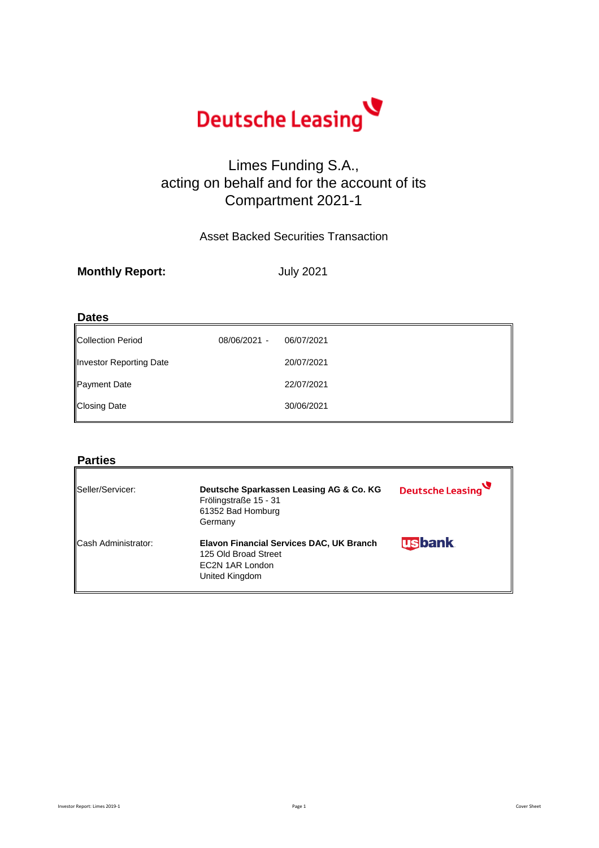**Monthly Report:**

| <b>Dates</b>             |              |            |
|--------------------------|--------------|------------|
| <b>Collection Period</b> | 08/06/2021 - | 06/07/2021 |
| Investor Reporting Date  |              | 20/07/2021 |
| Payment Date             |              | 22/07/2021 |
| <b>Closing Date</b>      |              | 30/06/2021 |
|                          |              |            |

#### **Parties**

| Seller/Servicer:           | Deutsche Sparkassen Leasing AG & Co. KG<br>Frölingstraße 15 - 31<br>61352 Bad Homburg<br>Germany             | Deutsche Leasing |
|----------------------------|--------------------------------------------------------------------------------------------------------------|------------------|
| <b>Cash Administrator:</b> | <b>Elavon Financial Services DAC, UK Branch</b><br>125 Old Broad Street<br>EC2N 1AR London<br>United Kingdom | <b>usbank</b>    |

Investor Report: Limes 2019-1 Cover Sheet Cover Sheet Cover Sheet Cover Sheet Cover Sheet



# Limes Funding S.A., acting on behalf and for the account of its Compartment 2021-1

Asset Backed Securities Transaction

July 2021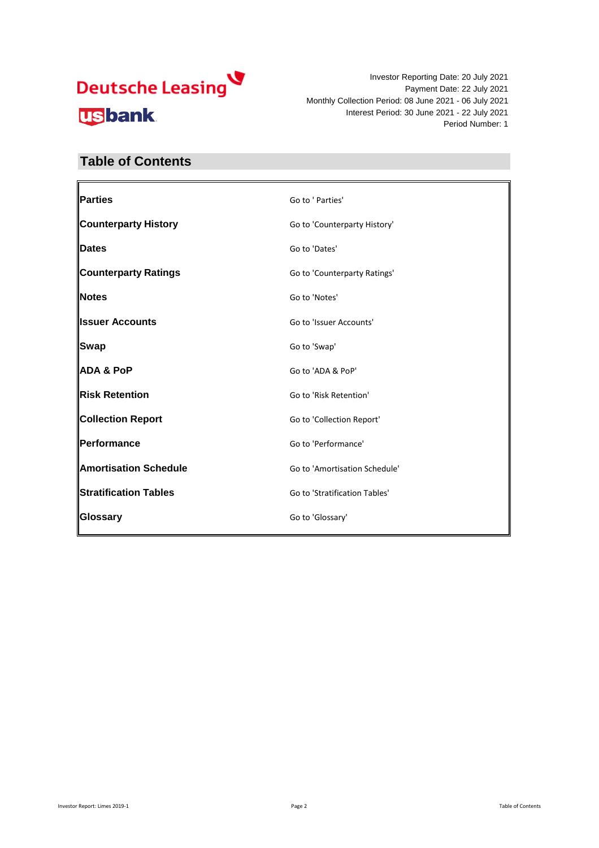# Deutsche Leasing **usbank**

Investor Reporting Date: 20 July 2021 Payment Date: 22 July 2021 Monthly Collection Period: 08 June 2021 - 06 July 2021 Interest Period: 30 June 2021 - 22 July 2021 Period Number: 1

#### **Table of Contents**

| <b>Parties</b>               | Go to ' Parties'              |
|------------------------------|-------------------------------|
| <b>Counterparty History</b>  | Go to 'Counterparty History'  |
| <b>Dates</b>                 | Go to 'Dates'                 |
| <b>Counterparty Ratings</b>  | Go to 'Counterparty Ratings'  |
| Notes                        | Go to 'Notes'                 |
| <b>Issuer Accounts</b>       | Go to 'Issuer Accounts'       |
| <b>Swap</b>                  | Go to 'Swap'                  |
| <b>ADA &amp; PoP</b>         | Go to 'ADA & PoP'             |
| <b>Risk Retention</b>        | Go to 'Risk Retention'        |
| <b>Collection Report</b>     | Go to 'Collection Report'     |
| Performance                  | Go to 'Performance'           |
| <b>Amortisation Schedule</b> | Go to 'Amortisation Schedule' |
| <b>Stratification Tables</b> | Go to 'Stratification Tables' |
| <b>Glossary</b>              | Go to 'Glossary'              |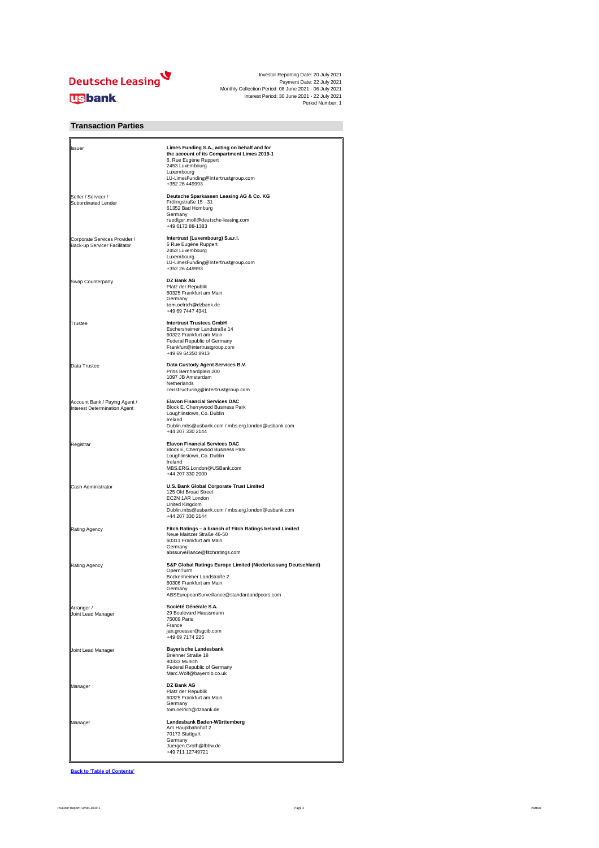

| Ilssuer                                                       | Limes Funding S.A., acting on behalf and for<br>the account of its Compartment Limes 2019-1<br>6, Rue Eugène Ruppert<br>2453 Luxembourg<br>Luxembourg<br>LU-LimesFunding@Intertrustgroup.com<br>+352 26 449993 |
|---------------------------------------------------------------|----------------------------------------------------------------------------------------------------------------------------------------------------------------------------------------------------------------|
| Seller / Servicer /<br><b>Subordinated Lender</b>             | Deutsche Sparkassen Leasing AG & Co. KG<br>Frölingstraße 15 - 31<br>61352 Bad Homburg<br>Germany<br>ruediger.moll@deutsche-leasing.com<br>+49 6172 88-1383                                                     |
| Corporate Services Provider /<br>Back-up Servicer Facilitator | Intertrust (Luxembourg) S.a.r.l.<br>6 Rue Eugène Ruppert<br>2453 Luxembourg<br>Luxembourg<br>LU-LimesFunding@Intertrustgroup.com<br>+352 26 449993                                                             |
| <b>Swap Counterparty</b>                                      | <b>DZ Bank AG</b><br>Platz der Republik<br>60325 Frankfurt am Main<br>Germany<br>tom.oelrich@dzbank.de<br>+49 69 7447 4341                                                                                     |
| Trustee                                                       | <b>Intertrust Trustees GmbH</b><br>Eschersheimer Landstraße 14<br>60322 Frankfurt am Main<br>Federal Republic of Germany<br>Frankfurt@intertrustgroup.com<br>+49 69 64350 8913                                 |
| Data Trustee                                                  | Data Custody Agent Services B.V.<br>Prins Bernhardplein 200<br>1097 JB Amsterdam<br>Netherlands<br>cmsstructuring@intertrustgroup.com                                                                          |
| Account Bank / Paying Agent /<br>Interest Determination Agent | <b>Elavon Financial Services DAC</b><br>Block E, Cherrywood Business Park<br>Loughlinstown, Co. Dublin<br>Ireland<br>Dublin.mbs@usbank.com / mbs.erg.london@usbank.com<br>+44 207 330 2144                     |
| Registrar                                                     | <b>Elavon Financial Services DAC</b><br>Block E, Cherrywood Business Park<br>Loughlinstown, Co. Dublin<br>Ireland<br>MBS.ERG.London@USBank.com<br>+44 207 330 2000                                             |
| <b>Cash Administrator</b>                                     | <b>U.S. Bank Global Corporate Trust Limited</b><br>125 Old Broad Street<br>EC2N 1AR London<br>United Kingdom<br>Dublin.mbs@usbank.com / mbs.erg.london@usbank.com<br>+44 207 330 2144                          |
| <b>Rating Agency</b>                                          | Fitch Ratings - a branch of Fitch Ratings Ireland Limited<br>Neue Mainzer Straße 46-50<br>60311 Frankfurt am Main<br>Germany<br>abssurveillance@fitchratings.com                                               |
| <b>Rating Agency</b>                                          | S&P Global Ratings Europe Limited (Niederlassung Deutschland)<br>OpernTurm<br>Bockenheimer Landstraße 2<br>60306 Frankfurt am Main<br>Germany<br>ABSEuropeanSurveillance@standardandpoors.com                  |
| Arranger /<br>Joint Lead Manager                              | Société Générale S.A.<br>29 Boulevard Haussmann<br>75009 Paris<br>France<br>jan.groesser@sgcib.com<br>+49 69 7174 225                                                                                          |
| Joint Lead Manager                                            | <b>Bayerische Landesbank</b><br><b>Brienner Straße 18</b><br>80333 Munich<br><b>Federal Republic of Germany</b><br>Marc.Wolf@bayernlb.co.uk                                                                    |
| Manager                                                       | <b>DZ Bank AG</b><br>Platz der Republik<br>60325 Frankfurt am Main<br>Germany<br>tom.oelrich@dzbank.de                                                                                                         |
| Manager                                                       | Landesbank Baden-Württemberg<br>Am Hauptbahnhof 2<br>70173 Stuttgart<br>Germany<br>Juergen.Groth@lbbw.de<br>+49 711 12749721                                                                                   |

**Back to 'Table of Contents'**

#### **Transaction Parties**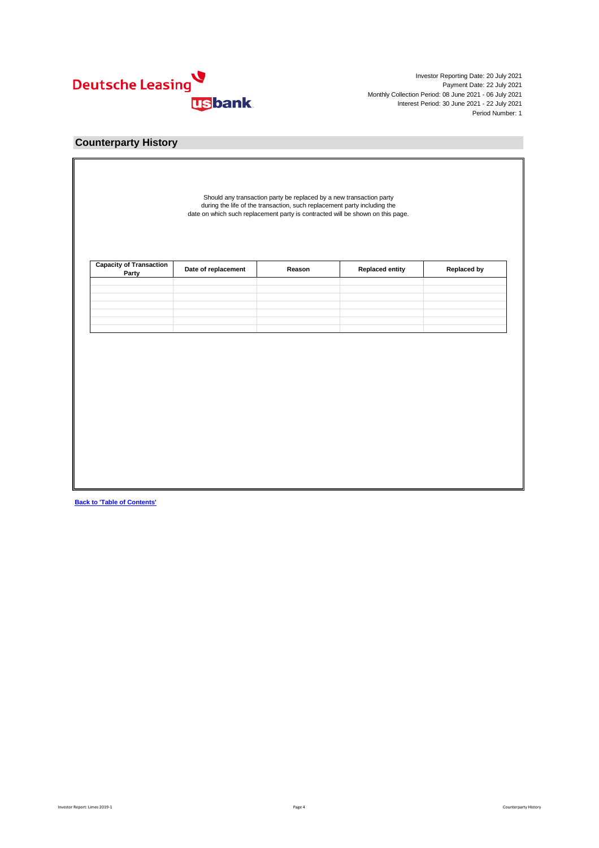

| <b>Capacity of Transaction<br/>Party</b> | Date of replacement | Reason | <b>Replaced entity</b> | <b>Replaced by</b> |
|------------------------------------------|---------------------|--------|------------------------|--------------------|
|                                          |                     |        |                        |                    |
|                                          |                     |        |                        |                    |
|                                          |                     |        |                        |                    |
|                                          |                     |        |                        |                    |
|                                          |                     |        |                        |                    |
|                                          |                     |        |                        |                    |
|                                          |                     |        |                        |                    |

**Back to 'Table of Contents'**

#### **Counterparty History**

Should any transaction party be replaced by a new transaction party during the life of the transaction, such replacement party including the date on which such replacement party is contracted will be shown on this page.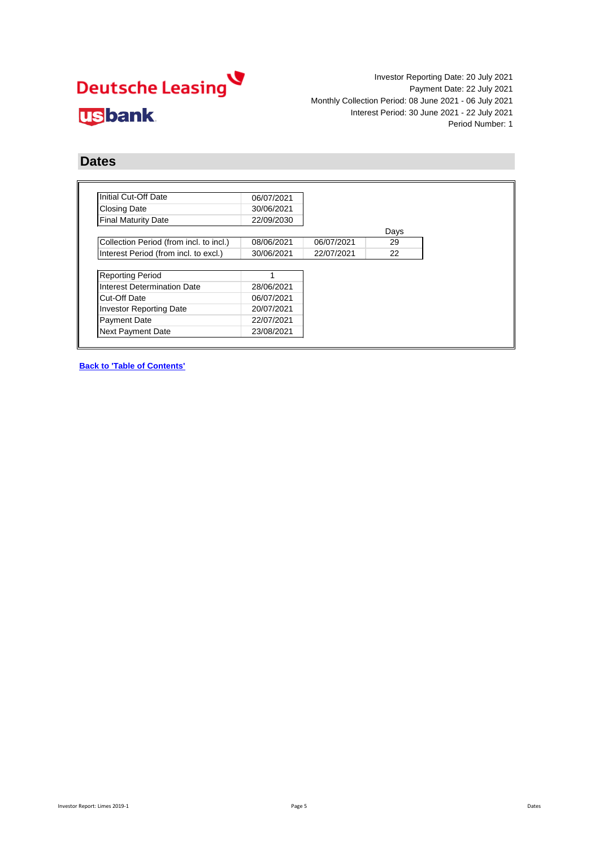# Deutsche Leasing **usbank**

Investor Reporting Date: 20 July 2021 Payment Date: 22 July 2021 Monthly Collection Period: 08 June 2021 - 06 July 2021 Interest Period: 30 June 2021 - 22 July 2021 Period Number: 1

#### **Dates**

| Initial Cut-Off Date                    | 06/07/2021 |            |      |
|-----------------------------------------|------------|------------|------|
| <b>Closing Date</b>                     | 30/06/2021 |            |      |
| <b>Final Maturity Date</b>              | 22/09/2030 |            |      |
|                                         |            |            | Days |
| Collection Period (from incl. to incl.) | 08/06/2021 | 06/07/2021 | 29   |
| Interest Period (from incl. to excl.)   | 30/06/2021 | 22/07/2021 | 22   |
|                                         |            |            |      |
| <b>Reporting Period</b>                 |            |            |      |
| <b>Interest Determination Date</b>      | 28/06/2021 |            |      |
| <b>Cut-Off Date</b>                     | 06/07/2021 |            |      |
|                                         |            |            |      |
| <b>Investor Reporting Date</b>          | 20/07/2021 |            |      |
| <b>Payment Date</b>                     | 22/07/2021 |            |      |

**Back to 'Table of Contents'**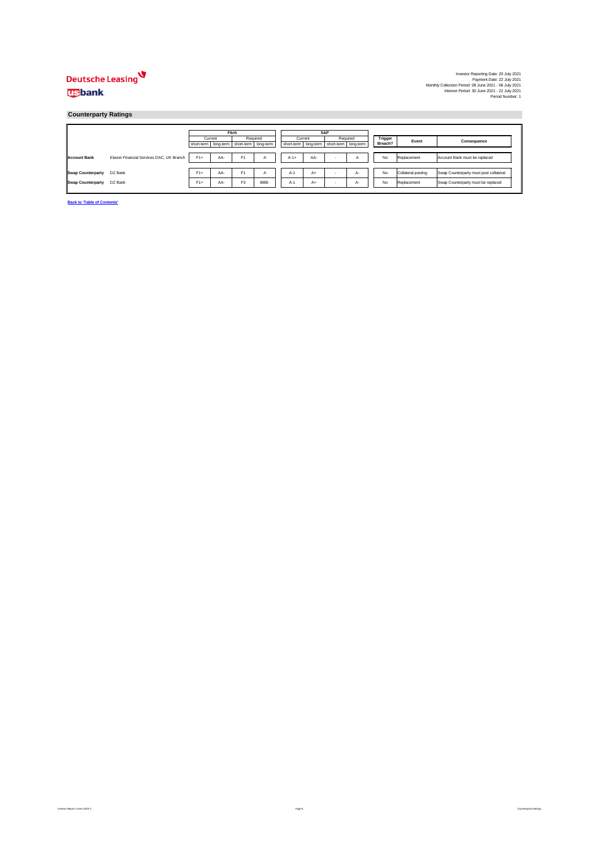

|                     |                                          |                                                 | <b>Fitch</b> |                |                |        |         | S&P                                             |    |                |                    |                                        |
|---------------------|------------------------------------------|-------------------------------------------------|--------------|----------------|----------------|--------|---------|-------------------------------------------------|----|----------------|--------------------|----------------------------------------|
|                     |                                          | Current                                         |              | Required       |                |        | Current | Required                                        |    | <b>Trigger</b> | Event              | <b>Consequence</b>                     |
|                     |                                          | short-term   long-term   short-term   long-term |              |                |                |        |         | short-term   long-term   short-term   long-term |    | Breach?        |                    |                                        |
|                     |                                          |                                                 |              |                |                |        |         |                                                 |    |                |                    |                                        |
| <b>Account Bank</b> | Elavon Financial Services DAC, UK Branch | $F1+$                                           | AA-          | F <sub>1</sub> | $\overline{A}$ | $A-1+$ | AA-     |                                                 |    | No             | Replacement        | Account Bank must be replaced          |
|                     |                                          |                                                 |              |                |                |        |         |                                                 |    |                |                    |                                        |
| Swap Counterparty   | DZ Bank                                  | $F1+$                                           | AA-          | F <sub>1</sub> | $\overline{A}$ | $A-1$  | A+      | -                                               | A- | No             | Collateral posting | Swap Counterparty must post collateral |
| Swap Counterparty   | DZ Bank                                  | $F1+$                                           | AA-          | F <sub>3</sub> | BBB-           | $A-1$  | A+      |                                                 | A- | No             | Replacement        | Swap Counterparty must be replaced     |

**Back to 'Table of Contents'**

Page 6 Counterparty Ratings 2019-1 Page 6 Counterparty Ratings and the Superior Report: Limes 2019-1 Page 6 Counterparty Ratings

### **Counterparty Ratings**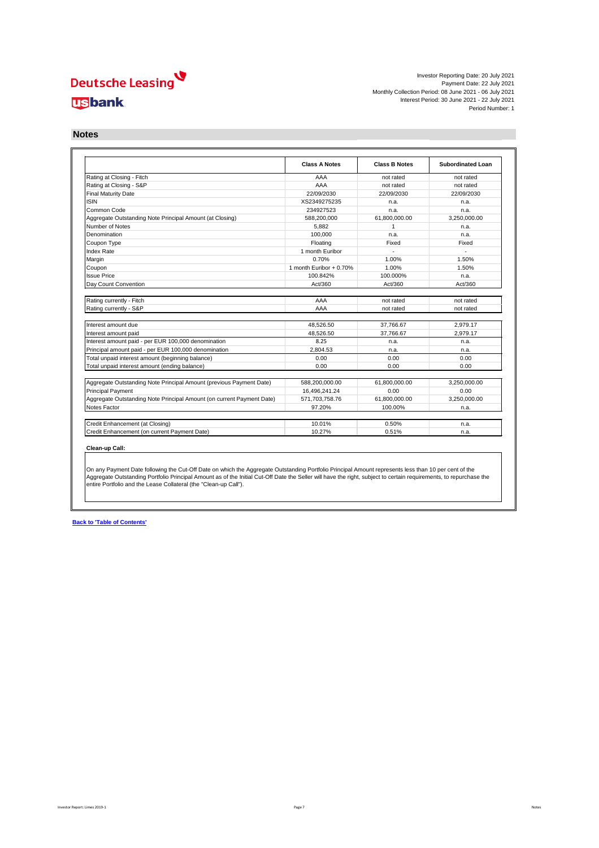

|                                                                       | <b>Class A Notes</b>    | <b>Class B Notes</b> | <b>Subordinated Loan</b> |
|-----------------------------------------------------------------------|-------------------------|----------------------|--------------------------|
| Rating at Closing - Fitch                                             | AAA                     | not rated            | not rated                |
| Rating at Closing - S&P                                               | AAA                     | not rated            | not rated                |
| <b>Final Maturity Date</b>                                            | 22/09/2030              | 22/09/2030           | 22/09/2030               |
| <b>ISIN</b>                                                           | XS2349275235            | n.a.                 | n.a.                     |
| Common Code                                                           | 234927523               | n.a.                 | n.a.                     |
| Aggregate Outstanding Note Principal Amount (at Closing)              | 588,200,000             | 61,800,000.00        | 3,250,000.00             |
| Number of Notes                                                       | 5,882                   | 1                    | n.a.                     |
| Denomination                                                          | 100,000                 | n.a.                 | n.a.                     |
| Coupon Type                                                           | Floating                | Fixed                | Fixed                    |
| Index Rate                                                            | 1 month Euribor         |                      | $\overline{a}$           |
| Margin                                                                | 0.70%                   | 1.00%                | 1.50%                    |
| Coupon                                                                | 1 month Euribor + 0.70% | 1.00%                | 1.50%                    |
| <b>Issue Price</b>                                                    | 100.842%                | 100.000%             | n.a.                     |
| Day Count Convention                                                  | Act/360                 | Act/360              | Act/360                  |
|                                                                       |                         |                      |                          |
| Rating currently - Fitch                                              | AAA                     | not rated            | not rated                |
| Rating currently - S&P                                                | AAA                     | not rated            | not rated                |
|                                                                       |                         |                      |                          |
| Interest amount due                                                   | 48,526.50               | 37,766.67            | 2,979.17                 |
| Interest amount paid                                                  | 48,526.50               | 37,766.67            | 2,979.17                 |
| Interest amount paid - per EUR 100,000 denomination                   | 8.25                    | n.a.                 | n.a.                     |
| Principal amount paid - per EUR 100,000 denomination                  | 2,804.53                | n.a.                 | n.a.                     |
| Total unpaid interest amount (beginning balance)                      | 0.00                    | 0.00                 | 0.00                     |
| Total unpaid interest amount (ending balance)                         | 0.00                    | 0.00                 | 0.00                     |
|                                                                       |                         |                      |                          |
| Aggregate Outstanding Note Principal Amount (previous Payment Date)   | 588,200,000.00          | 61,800,000.00        | 3,250,000.00             |
| <b>Principal Payment</b>                                              | 16,496,241.24           | 0.00                 | 0.00                     |
| Aggregate Outstanding Note Principal Amount (on current Payment Date) | 571,703,758.76          | 61,800,000.00        | 3,250,000.00             |
| <b>Notes Factor</b>                                                   | 97.20%                  | 100.00%              | n.a.                     |
| Credit Enhancement (at Closing)                                       | 10.01%                  | 0.50%                | n.a.                     |
| Credit Enhancement (on current Payment Date)                          | 10.27%                  | 0.51%                | n.a.                     |

#### **Clean-up Call:**

**Back to 'Table of Contents'**

#### **Notes**

On any Payment Date following the Cut-Off Date on which the Aggregate Outstanding Portfolio Principal Amount represents less than 10 per cent of the Aggregate Outstanding Portfolio Principal Amount as of the Initial Cut-Off Date the Seller will have the right, subject to certain requirements, to repurchase the entire Portfolio and the Lease Collateral (the "Clean-up Call").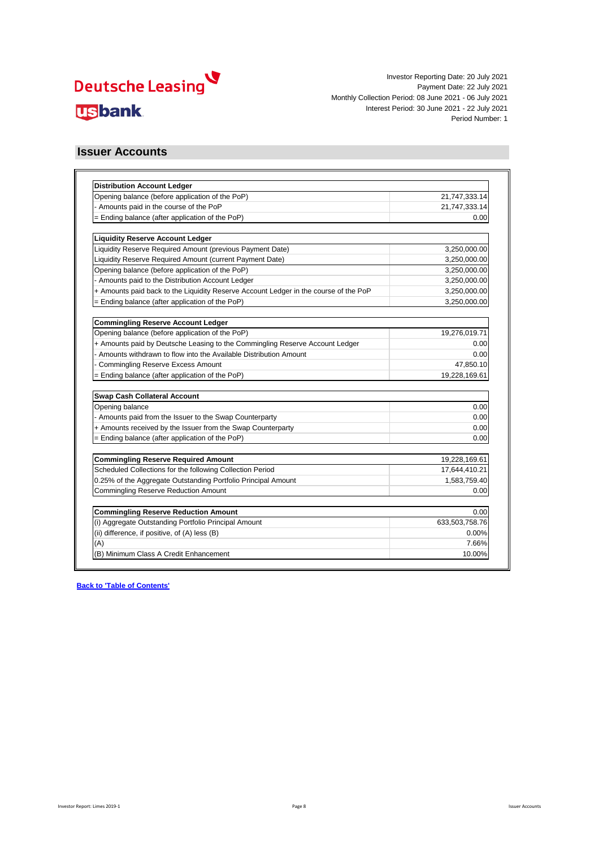

| <b>Distribution Account Ledger</b>                                                   |                |
|--------------------------------------------------------------------------------------|----------------|
| Opening balance (before application of the PoP)                                      | 21,747,333.14  |
| Amounts paid in the course of the PoP                                                | 21,747,333.14  |
| = Ending balance (after application of the PoP)                                      | 0.00           |
| <b>Liquidity Reserve Account Ledger</b>                                              |                |
| Liquidity Reserve Required Amount (previous Payment Date)                            | 3,250,000.00   |
| Liquidity Reserve Required Amount (current Payment Date)                             | 3,250,000.00   |
| Opening balance (before application of the PoP)                                      | 3,250,000.00   |
| Amounts paid to the Distribution Account Ledger                                      | 3,250,000.00   |
| + Amounts paid back to the Liquidity Reserve Account Ledger in the course of the PoP | 3,250,000.00   |
| $=$ Ending balance (after application of the PoP)                                    | 3,250,000.00   |
| <b>Commingling Reserve Account Ledger</b>                                            |                |
| Opening balance (before application of the PoP)                                      | 19,276,019.71  |
| + Amounts paid by Deutsche Leasing to the Commingling Reserve Account Ledger         | 0.00           |
| Amounts withdrawn to flow into the Available Distribution Amount                     | 0.00           |
| <b>Commingling Reserve Excess Amount</b>                                             | 47,850.10      |
| = Ending balance (after application of the PoP)                                      | 19,228,169.61  |
| <b>Swap Cash Collateral Account</b>                                                  |                |
| Opening balance                                                                      | 0.00           |
| Amounts paid from the Issuer to the Swap Counterparty                                | 0.00           |
| + Amounts received by the Issuer from the Swap Counterparty                          | 0.00           |
| = Ending balance (after application of the PoP)                                      | 0.00           |
| <b>Commingling Reserve Required Amount</b>                                           | 19,228,169.61  |
| Scheduled Collections for the following Collection Period                            | 17,644,410.21  |
| 0.25% of the Aggregate Outstanding Portfolio Principal Amount                        | 1,583,759.40   |
| <b>Commingling Reserve Reduction Amount</b>                                          | 0.00           |
|                                                                                      |                |
| <b>Commingling Reserve Reduction Amount</b>                                          | 0.00           |
| (i) Aggregate Outstanding Portfolio Principal Amount                                 | 633,503,758.76 |
| (ii) difference, if positive, of (A) less (B)                                        | 0.00%          |
| (A)                                                                                  | 7.66%          |
| (B) Minimum Class A Credit Enhancement                                               | 10.00%         |

#### **Issuer Accounts**

Investor Report: Limes 2019-1 Page 8 Issuer Accounts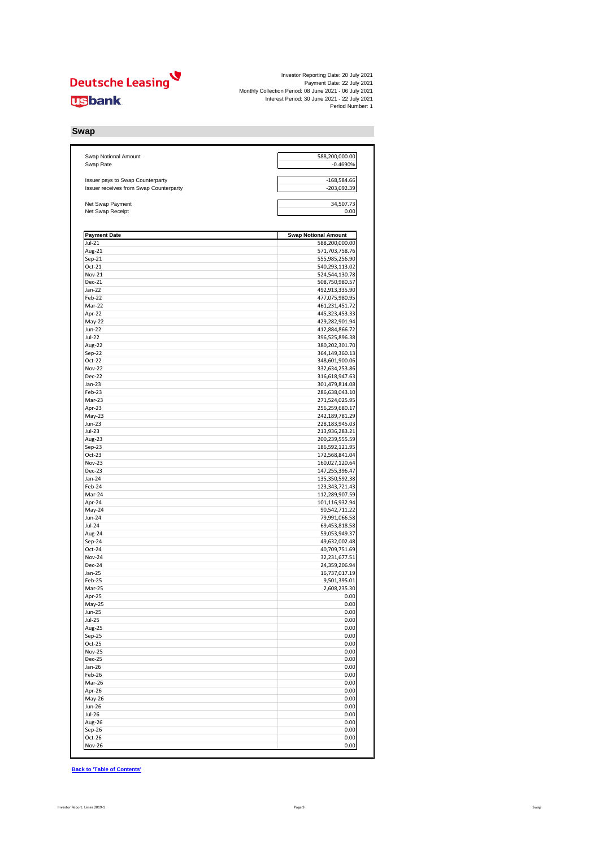

| <b>Swap Notional Amount</b><br>Swap Rate      | 588,200,000.00<br>$-0.4690%$     |
|-----------------------------------------------|----------------------------------|
|                                               |                                  |
| Issuer pays to Swap Counterparty              | $-168,584.66$                    |
| <b>Issuer receives from Swap Counterparty</b> | $-203,092.39$                    |
|                                               |                                  |
| Net Swap Payment<br>Net Swap Receipt          | 34,507.73<br>0.00                |
|                                               |                                  |
|                                               |                                  |
| <b>Payment Date</b>                           | <b>Swap Notional Amount</b>      |
| $Jul-21$<br>Aug-21                            | 588,200,000.00<br>571,703,758.76 |
| $Sep-21$                                      | 555,985,256.90                   |
| Oct-21                                        | 540,293,113.02                   |
| <b>Nov-21</b>                                 | 524,544,130.78                   |
| <b>Dec-21</b>                                 | 508,750,980.57                   |
| $Jan-22$<br>Feb-22                            | 492,913,335.90<br>477,075,980.95 |
| Mar-22                                        | 461,231,451.72                   |
| Apr-22                                        | 445,323,453.33                   |
| $May-22$                                      | 429,282,901.94                   |
| <b>Jun-22</b>                                 | 412,884,866.72                   |
| <b>Jul-22</b>                                 | 396,525,896.38                   |
| Aug-22<br>Sep-22                              | 380,202,301.70<br>364,149,360.13 |
| $Oct-22$                                      | 348,601,900.06                   |
| <b>Nov-22</b>                                 | 332,634,253.86                   |
| <b>Dec-22</b>                                 | 316,618,947.63                   |
| Jan-23                                        | 301,479,814.08                   |
| Feb-23<br>Mar-23                              | 286,638,043.10<br>271,524,025.95 |
| Apr-23                                        | 256,259,680.17                   |
| $May-23$                                      | 242,189,781.29                   |
| <b>Jun-23</b>                                 | 228,183,945.03                   |
| <b>Jul-23</b>                                 | 213,936,283.21                   |
| Aug-23<br>Sep-23                              | 200,239,555.59<br>186,592,121.95 |
| $Oct-23$                                      | 172,568,841.04                   |
| <b>Nov-23</b>                                 | 160,027,120.64                   |
| Dec-23                                        | 147,255,396.47                   |
| $Jan-24$                                      | 135,350,592.38                   |
| Feb-24                                        | 123, 343, 721. 43                |
| Mar-24<br>Apr-24                              | 112,289,907.59<br>101,116,932.94 |
| May-24                                        | 90,542,711.22                    |
| <b>Jun-24</b>                                 | 79,991,066.58                    |
| <b>Jul-24</b>                                 | 69,453,818.58                    |
| Aug-24                                        | 59,053,949.37                    |
| Sep-24<br>Oct-24                              | 49,632,002.48<br>40,709,751.69   |
| <b>Nov-24</b>                                 | 32,231,677.51                    |
| Dec-24                                        | 24,359,206.94                    |
| Jan-25                                        | 16,737,017.19                    |
| Feb-25                                        | 9,501,395.01                     |
| Mar-25<br>Apr-25                              | 2,608,235.30<br>0.00             |
| $May-25$                                      | 0.00                             |
| <b>Jun-25</b>                                 | 0.00                             |
| <b>Jul-25</b>                                 | 0.00                             |
| Aug-25                                        | 0.00                             |
| Sep-25<br>Oct-25                              | 0.00<br>0.00                     |
| <b>Nov-25</b>                                 | 0.00                             |
| Dec-25                                        | 0.00                             |
| Jan-26                                        | 0.00                             |
| Feb-26                                        | 0.00                             |
| Mar-26<br>Apr-26                              | 0.00<br>0.00                     |
| May-26                                        | 0.00                             |
| <b>Jun-26</b>                                 | 0.00                             |
| <b>Jul-26</b>                                 | 0.00                             |
| Aug-26                                        | 0.00                             |
| Sep-26                                        | 0.00                             |
| Oct-26<br><b>Nov-26</b>                       | 0.00<br>0.00                     |

**Back to 'Table of Contents'**

## **Swap**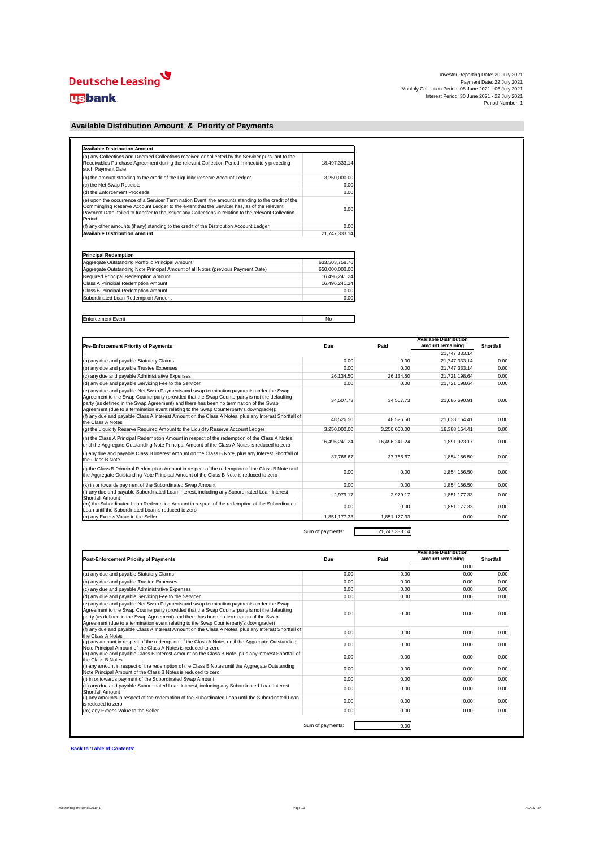

| <b>Available Distribution Amount</b>                                                                                                                                                                                                                                                                                |               |  |  |  |
|---------------------------------------------------------------------------------------------------------------------------------------------------------------------------------------------------------------------------------------------------------------------------------------------------------------------|---------------|--|--|--|
| (a) any Collections and Deemed Collections received or collected by the Servicer pursuant to the<br>Receivables Purchase Agreement during the relevant Collection Period immediately preceding<br>such Payment Date                                                                                                 | 18,497,333.14 |  |  |  |
| (b) the amount standing to the credit of the Liquidity Reserve Account Ledger                                                                                                                                                                                                                                       | 3,250,000.00  |  |  |  |
| (c) the Net Swap Receipts                                                                                                                                                                                                                                                                                           | 0.00          |  |  |  |
| (d) the Enforcement Proceeds                                                                                                                                                                                                                                                                                        | 0.00          |  |  |  |
| (e) upon the occurrence of a Servicer Termination Event, the amounts standing to the credit of the<br>Commingling Reserve Account Ledger to the extent that the Servicer has, as of the relevant<br>Payment Date, failed to transfer to the Issuer any Collections in relation to the relevant Collection<br>Period | 0.00          |  |  |  |
| (f) any other amounts (if any) standing to the credit of the Distribution Account Ledger                                                                                                                                                                                                                            | 0.00          |  |  |  |
| <b>Available Distribution Amount</b>                                                                                                                                                                                                                                                                                | 21,747,333.14 |  |  |  |

| <b>Principal Redemption</b>                                                      |                |
|----------------------------------------------------------------------------------|----------------|
| Aggregate Outstanding Portfolio Principal Amount                                 | 633,503,758.76 |
| Aggregate Outstanding Note Principal Amount of all Notes (previous Payment Date) | 650,000,000.00 |
| Required Principal Redemption Amount                                             | 16,496,241.24  |
| <b>Class A Principal Redemption Amount</b>                                       | 16,496,241.24  |
| <b>Class B Principal Redemption Amount</b>                                       | 0.00           |
| Subordinated Loan Redemption Amount                                              | 0.00           |

| Enf<br>vent :<br><u>ucilicii.</u><br>. | <b>NC</b><br>$\sim$ |
|----------------------------------------|---------------------|

|                                                                                                                                                                                                                                                                                                                                                                             |               |               | <b>Available Distribution</b> |                  |
|-----------------------------------------------------------------------------------------------------------------------------------------------------------------------------------------------------------------------------------------------------------------------------------------------------------------------------------------------------------------------------|---------------|---------------|-------------------------------|------------------|
| <b>Pre-Enforcement Priority of Payments</b>                                                                                                                                                                                                                                                                                                                                 | <b>Due</b>    | Paid          | <b>Amount remaining</b>       | <b>Shortfall</b> |
|                                                                                                                                                                                                                                                                                                                                                                             |               |               | 21,747,333.14                 |                  |
| (a) any due and payable Statutory Claims                                                                                                                                                                                                                                                                                                                                    | 0.00          | 0.00          | 21,747,333.14                 | 0.00             |
| (b) any due and payable Trustee Expenses                                                                                                                                                                                                                                                                                                                                    | 0.00          | 0.00          | 21,747,333.14                 | 0.00             |
| (c) any due and payable Administrative Expenses                                                                                                                                                                                                                                                                                                                             | 26,134.50     | 26,134.50     | 21,721,198.64                 | 0.00             |
| (d) any due and payable Servicing Fee to the Servicer                                                                                                                                                                                                                                                                                                                       | 0.00          | 0.00          | 21,721,198.64                 | 0.00             |
| (e) any due and payable Net Swap Payments and swap termination payments under the Swap<br>Agreement to the Swap Counterparty (provided that the Swap Counterparty is not the defaulting<br>party (as defined in the Swap Agreement) and there has been no termination of the Swap<br>Agreement (due to a termination event relating to the Swap Counterparty's downgrade)); | 34,507.73     | 34,507.73     | 21,686,690.91                 | 0.00             |
| (f) any due and payable Class A Interest Amount on the Class A Notes, plus any Interest Shortfall of<br>the Class A Notes                                                                                                                                                                                                                                                   | 48,526.50     | 48,526.50     | 21,638,164.41                 | 0.00             |
| (g) the Liquidity Reserve Required Amount to the Liquidity Reserve Account Ledger                                                                                                                                                                                                                                                                                           | 3,250,000.00  | 3,250,000.00  | 18,388,164.41                 | 0.00             |
| (h) the Class A Principal Redemption Amount in respect of the redemption of the Class A Notes<br>until the Aggregate Outstanding Note Principal Amount of the Class A Notes is reduced to zero                                                                                                                                                                              | 16,496,241.24 | 16,496,241.24 | 1,891,923.17                  | 0.00             |
| (i) any due and payable Class B Interest Amount on the Class B Note, plus any Interest Shortfall of<br>the Class B Note                                                                                                                                                                                                                                                     | 37,766.67     | 37,766.67     | 1,854,156.50                  | 0.00             |
| (j) the Class B Principal Redemption Amount in respect of the redemption of the Class B Note until<br>the Aggregate Outstanding Note Principal Amount of the Class B Note is reduced to zero                                                                                                                                                                                | 0.00          | 0.00          | 1,854,156.50                  | 0.00             |
| (k) in or towards payment of the Subordinated Swap Amount                                                                                                                                                                                                                                                                                                                   | 0.00          | 0.00          | 1,854,156.50                  | 0.00             |
| (I) any due and payable Subordinated Loan Interest, including any Subordinated Loan Interest<br><b>Shortfall Amount</b>                                                                                                                                                                                                                                                     | 2,979.17      | 2,979.17      | 1,851,177.33                  | 0.00             |
| (m) the Subordinated Loan Redemption Amount in respect of the redemption of the Subordinated<br>Loan until the Subordinated Loan is reduced to zero                                                                                                                                                                                                                         | 0.00          | 0.00          | 1,851,177.33                  | 0.00             |
| (n) any Excess Value to the Seller                                                                                                                                                                                                                                                                                                                                          | 1,851,177.33  | 1,851,177.33  | 0.00                          | 0.00             |

Sum of payments: 21,747,333.14

| <b>Post-Enforcement Priority of Payments</b>                                                                                                                                                                                                                                                                                                                               | <b>Due</b>       | Paid | <b>Available Distribution</b><br><b>Amount remaining</b> | <b>Shortfall</b> |
|----------------------------------------------------------------------------------------------------------------------------------------------------------------------------------------------------------------------------------------------------------------------------------------------------------------------------------------------------------------------------|------------------|------|----------------------------------------------------------|------------------|
|                                                                                                                                                                                                                                                                                                                                                                            |                  |      | 0.00                                                     |                  |
| (a) any due and payable Statutory Claims                                                                                                                                                                                                                                                                                                                                   | 0.00             | 0.00 | 0.00                                                     | 0.00             |
| (b) any due and payable Trustee Expenses                                                                                                                                                                                                                                                                                                                                   | 0.00             | 0.00 | 0.00                                                     | 0.00             |
| (c) any due and payable Administrative Expenses                                                                                                                                                                                                                                                                                                                            | 0.00             | 0.00 | 0.00                                                     | 0.00             |
| (d) any due and payable Servicing Fee to the Servicer                                                                                                                                                                                                                                                                                                                      | 0.00             | 0.00 | 0.00                                                     | 0.00             |
| (e) any due and payable Net Swap Payments and swap termination payments under the Swap<br>Agreement to the Swap Counterparty (provided that the Swap Counterparty is not the defaulting<br>party (as defined in the Swap Agreement) and there has been no termination of the Swap<br>Agreement (due to a termination event relating to the Swap Counterparty's downgrade)) | 0.00             | 0.00 | 0.00                                                     | 0.00             |
| (f) any due and payable Class A Interest Amount on the Class A Notes, plus any Interest Shortfall of<br>the Class A Notes                                                                                                                                                                                                                                                  | 0.00             | 0.00 | 0.00                                                     | 0.00             |
| (g) any amount in respect of the redemption of the Class A Notes until the Aggregate Outstanding<br>Note Principal Amount of the Class A Notes is reduced to zero                                                                                                                                                                                                          | 0.00             | 0.00 | 0.00                                                     | 0.00             |
| (h) any due and payable Class B Interest Amount on the Class B Note, plus any Interest Shortfall of<br>the Class B Notes                                                                                                                                                                                                                                                   | 0.00             | 0.00 | 0.00                                                     | 0.00             |
| (i) any amount in respect of the redemption of the Class B Notes until the Aggregate Outstanding<br>Note Principal Amount of the Class B Notes is reduced to zero                                                                                                                                                                                                          | 0.00             | 0.00 | 0.00                                                     | 0.00             |
| (j) in or towards payment of the Subordinated Swap Amount                                                                                                                                                                                                                                                                                                                  | 0.00             | 0.00 | 0.00                                                     | 0.00             |
| (k) any due and payable Subordinated Loan Interest, including any Subordinated Loan Interest<br>Shortfall Amount                                                                                                                                                                                                                                                           | 0.00             | 0.00 | 0.00                                                     | 0.00             |
| (I) any amounts in respect of the redemption of the Subordinated Loan until the Subordinated Loan<br>is reduced to zero                                                                                                                                                                                                                                                    | 0.00             | 0.00 | 0.00                                                     | 0.00             |
| (m) any Excess Value to the Seller                                                                                                                                                                                                                                                                                                                                         | 0.00             | 0.00 | 0.00                                                     | 0.00             |
|                                                                                                                                                                                                                                                                                                                                                                            | Sum of payments: | 0.00 |                                                          |                  |

**Back to 'Table of Contents'**

### **Available Distribution Amount & Priority of Payments**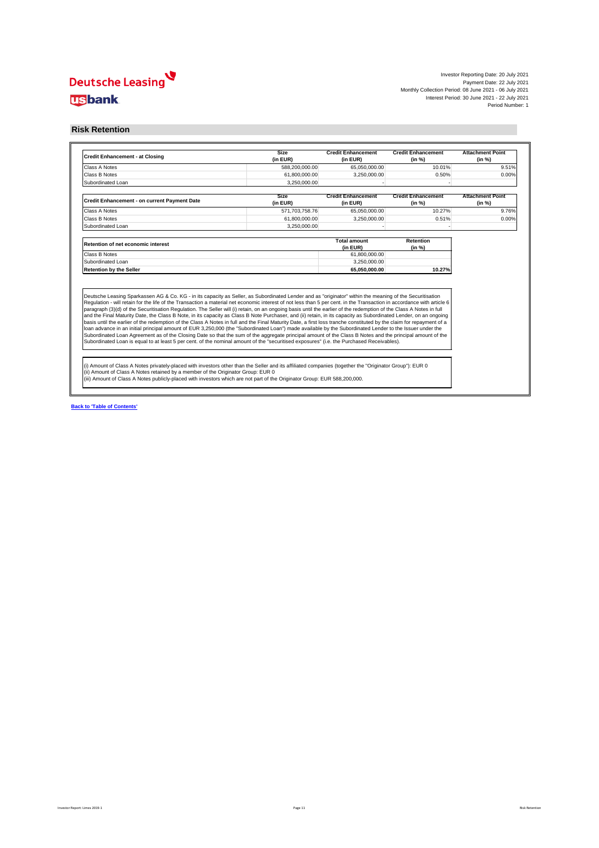

**Back to 'Table of Contents'**

#### **Risk Retention**

| <b>Credit Enhancement - at Closing</b>              | <b>Size</b><br>(in EUR) | <b>Credit Enhancement</b><br>(in EUR) | <b>Credit Enhancement</b><br>(in %) | <b>Attachment Point</b><br>(in %) |
|-----------------------------------------------------|-------------------------|---------------------------------------|-------------------------------------|-----------------------------------|
| <b>Class A Notes</b>                                | 588,200,000.00          | 65,050,000.00                         | 10.01%                              | 9.51%                             |
| <b>Class B Notes</b>                                | 61,800,000.00           | 3,250,000.00                          | 0.50%                               | 0.00%                             |
| Subordinated Loan                                   | 3,250,000.00            |                                       |                                     |                                   |
|                                                     | <b>Size</b>             | <b>Credit Enhancement</b>             | <b>Credit Enhancement</b>           | <b>Attachment Point</b>           |
| <b>Credit Enhancement - on current Payment Date</b> | (in EUR)                | (in EUR)                              | (in %)                              | (in %)                            |
| <b>Class A Notes</b>                                | 571,703,758.76          | 65,050,000.00                         | 10.27%                              | 9.76%                             |
| <b>Class B Notes</b>                                | 61,800,000.00           | 3,250,000.00                          | 0.51%                               | 0.00%                             |
| Subordinated Loan                                   | 3,250,000.00            |                                       |                                     |                                   |
| <b>Retention of net economic interest</b>           |                         | <b>Total amount</b><br>(in EUR)       | <b>Retention</b><br>(in %)          |                                   |
| <b>Class B Notes</b>                                |                         | 61,800,000.00                         |                                     |                                   |
| Subordinated Loan                                   |                         | 3,250,000.00                          |                                     |                                   |
|                                                     |                         |                                       |                                     |                                   |
| <b>Retention by the Seller</b>                      |                         | 65,050,000.00                         | 10.27%                              |                                   |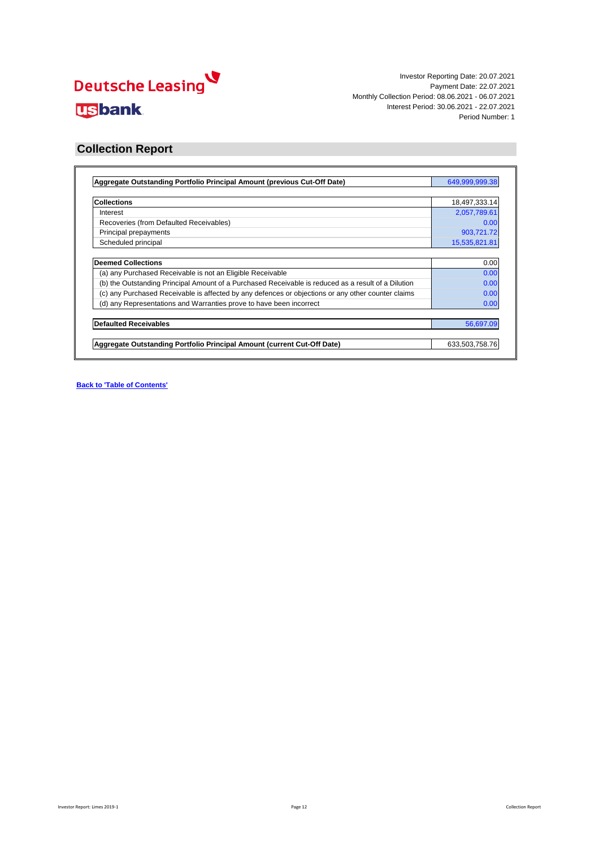

Investor Reporting Date: 20.07.2021 Payment Date: 22.07.2021 Monthly Collection Period: 08.06.2021 - 06.07.2021 Interest Period: 30.06.2021 - 22.07.2021 Period Number: 1

| 18,497,333.14<br>2,057,789.61<br>0.00 |
|---------------------------------------|
|                                       |
|                                       |
|                                       |
| 903,721.72                            |
| 15,535,821.81                         |
| 0.00                                  |
| 0.00                                  |
| 0.00                                  |
| 0.00                                  |
| 0.00                                  |
| 56,697.09                             |
| 633,503,758.76                        |
|                                       |

**Back to 'Table of Contents'**

### **Collection Report**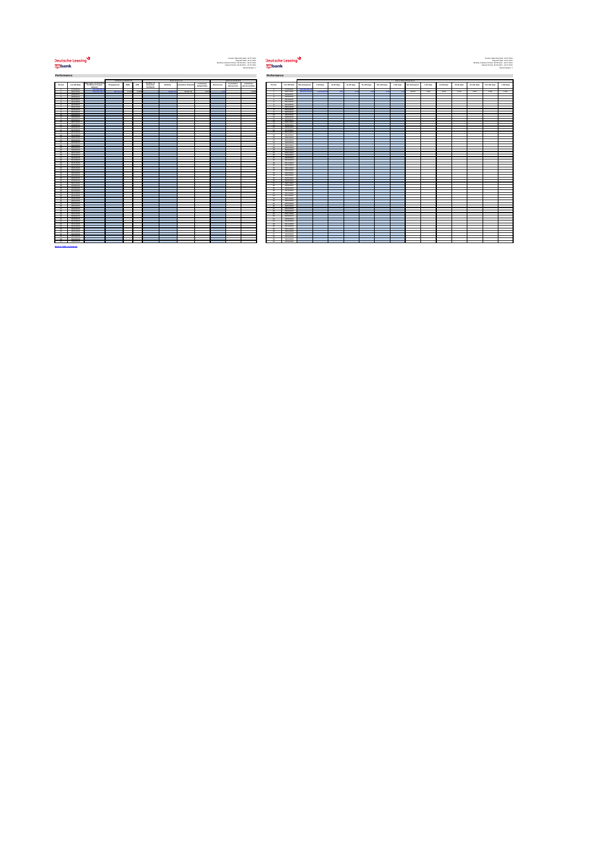# **Deutsche Leasing usbank**



Period: 30.06.2021 - 22.07.2021<br>Period: 30.06.2021 - 22.07.2021

|                      |                                                                                                               |                                                                             |                          | PREPAYMENTS              |                                 |                                                          | DEFAULTS                 |                          |                                   |                                                                                                                                                                                                                                           | RECOVERIES                      |                                    |                 |                          |                |                          |                          |                          |                          |                      |                          | DELINQUENCIES            |                          |                          |                          |                          |                          |                          |
|----------------------|---------------------------------------------------------------------------------------------------------------|-----------------------------------------------------------------------------|--------------------------|--------------------------|---------------------------------|----------------------------------------------------------|--------------------------|--------------------------|-----------------------------------|-------------------------------------------------------------------------------------------------------------------------------------------------------------------------------------------------------------------------------------------|---------------------------------|------------------------------------|-----------------|--------------------------|----------------|--------------------------|--------------------------|--------------------------|--------------------------|----------------------|--------------------------|--------------------------|--------------------------|--------------------------|--------------------------|--------------------------|--------------------------|--------------------------|
| Period               | <b>Cut-Off Date</b>                                                                                           | <b>Aggregate Outstanding</b><br><b>Portfolio Principal</b><br><b>Amount</b> | Prepayments              | <b>SMM</b>               | <b>CPR</b>                      | <b>Number of</b><br><b>Defaulted</b><br><b>Contracts</b> | <b>Defaults</b>          | Cumulative Defaults      | Cumulative<br><b>Default Rate</b> | <b>Recoveries</b>                                                                                                                                                                                                                         | Cumulative<br><b>Recoveries</b> | <b>Cumulative</b><br>Recovery Rate | <b>Period</b>   | <b>Cut-Off Date</b>      | Not delinquent | $1-30$ days              | 31-60 days               | 61-90 days               | 91-120 days              | 121-150 days         | > 150 days               | Not delinquent           | 1-30 days                | 31-60 days               | 61-90 days               | 91-120 days              | 121-150 days             | > 150 days               |
|                      | 07/06/2021                                                                                                    | 649,999,999                                                                 | <b>Contract Contract</b> | <b>Contract Contract</b> | <b>Contract Contract Street</b> | <b>Contract Contract</b>                                 | <b>Contract Contract</b> | <b>Contract Contract</b> | <b>Contract Contract Contract</b> | <b>Service</b> State                                                                                                                                                                                                                      | and the company of the company  | <b>Contractor</b>                  |                 | 07/06/2021               | 649,999,999.3  | <b>Contract Contract</b> | <b>Contract Contract</b> | <b>Contract Contract</b> | <b>Contract Contract</b> | $\sim 100$ m $^{-1}$ | <b>Contract Contract</b> | <b>Contract Contract</b> | <b>Contract Contract</b> | <b>Contract Contract</b> | <b>Contract Contract</b> | <b>Contract Contract</b> | <b>Contract Contract</b> | <b>Contract Contract</b> |
|                      | 06/07/2021                                                                                                    | 633,503,758.7                                                               | 903,721.72               | $0.07\%$                 | $0.83\%$                        |                                                          | 56.697.0                 | 56,697.09                | 0.01%                             |                                                                                                                                                                                                                                           |                                 | $0.00\%$                           |                 | 06/07/2021               | 630,875,673.80 | 2,628,084.96             |                          |                          |                          |                      |                          | 99.6%                    | 0.4%                     | $0.0\%$                  | $0.0\%$                  | $0.0\%$                  | $0.0\%$                  | $0.0\%$                  |
|                      | 06/08/2021                                                                                                    |                                                                             |                          |                          |                                 |                                                          |                          |                          |                                   |                                                                                                                                                                                                                                           |                                 |                                    |                 | 06/08/2021               |                |                          |                          |                          |                          |                      |                          |                          |                          |                          |                          |                          |                          |                          |
|                      | 06/09/2021<br>06/10/2021                                                                                      |                                                                             |                          |                          |                                 |                                                          |                          |                          |                                   | <b>CONTRACTOR</b>                                                                                                                                                                                                                         |                                 |                                    |                 | 06/09/2021<br>06/10/2021 |                |                          |                          |                          |                          |                      |                          |                          |                          |                          |                          |                          |                          |                          |
|                      | 06/11/2021                                                                                                    |                                                                             |                          |                          |                                 |                                                          |                          |                          |                                   | and the state of the state of the state of the state of the state of the state of the state of the state of th                                                                                                                            |                                 |                                    |                 | 06/11/2021               |                |                          |                          |                          |                          |                      |                          |                          |                          |                          |                          |                          |                          |                          |
|                      | 06/12/2021                                                                                                    |                                                                             |                          |                          |                                 |                                                          |                          |                          |                                   | <b>Contract Contract Contract Contract Contract Contract Contract Contract Contract Contract Contract Contract Co</b>                                                                                                                     |                                 |                                    |                 | 06/12/2021               |                |                          |                          |                          |                          |                      |                          |                          |                          |                          |                          |                          |                          |                          |
|                      | 06/01/2022                                                                                                    |                                                                             |                          |                          |                                 |                                                          |                          |                          |                                   |                                                                                                                                                                                                                                           |                                 |                                    |                 | 06/01/2022               |                |                          |                          |                          |                          |                      |                          |                          |                          |                          |                          |                          |                          |                          |
|                      | 06/02/2022                                                                                                    |                                                                             |                          |                          |                                 |                                                          |                          |                          |                                   |                                                                                                                                                                                                                                           |                                 |                                    |                 | 06/02/2022               |                |                          |                          |                          |                          |                      |                          |                          |                          |                          |                          |                          |                          |                          |
| - 10                 | 06/03/2022<br>06/04/2022                                                                                      |                                                                             |                          |                          |                                 |                                                          |                          |                          |                                   |                                                                                                                                                                                                                                           |                                 |                                    |                 | 06/03/2022<br>06/04/2022 |                |                          |                          |                          |                          |                      |                          |                          |                          |                          |                          |                          |                          |                          |
| 11                   | 06/05/2022                                                                                                    |                                                                             |                          |                          |                                 |                                                          |                          |                          |                                   |                                                                                                                                                                                                                                           |                                 |                                    | $-11$           | 06/05/2022               |                |                          |                          |                          |                          |                      |                          |                          |                          |                          |                          |                          |                          |                          |
| 12                   | 06/06/2022                                                                                                    |                                                                             |                          |                          |                                 |                                                          |                          |                          |                                   |                                                                                                                                                                                                                                           |                                 |                                    |                 | 06/06/2022               |                |                          |                          |                          |                          |                      |                          |                          |                          |                          |                          |                          |                          |                          |
| 13                   | 06/07/2022                                                                                                    |                                                                             |                          |                          |                                 |                                                          |                          |                          |                                   |                                                                                                                                                                                                                                           |                                 |                                    | - 13            | 06/07/2022               |                |                          |                          |                          |                          |                      |                          |                          |                          |                          |                          |                          |                          |                          |
| 14                   | 06/08/2022                                                                                                    |                                                                             |                          |                          |                                 |                                                          |                          |                          |                                   |                                                                                                                                                                                                                                           |                                 |                                    | $\overline{14}$ | 06/08/2022               |                |                          |                          |                          |                          |                      |                          |                          |                          |                          |                          |                          |                          |                          |
| 15<br>16             | 06/09/2022<br>06/10/2022                                                                                      |                                                                             |                          |                          |                                 |                                                          |                          |                          |                                   |                                                                                                                                                                                                                                           |                                 |                                    |                 | 06/09/2022<br>06/10/2022 |                |                          |                          |                          |                          |                      |                          |                          |                          |                          |                          |                          |                          |                          |
| 17                   | 06/11/2022                                                                                                    |                                                                             |                          |                          |                                 |                                                          |                          |                          |                                   |                                                                                                                                                                                                                                           |                                 |                                    | 17              | 06/11/2022               |                |                          |                          |                          |                          |                      |                          |                          |                          |                          |                          |                          |                          |                          |
| - 18                 | 06/12/2022                                                                                                    |                                                                             |                          |                          |                                 |                                                          |                          |                          |                                   |                                                                                                                                                                                                                                           |                                 |                                    |                 | 06/12/2022               |                |                          |                          |                          |                          |                      |                          |                          |                          |                          |                          |                          |                          |                          |
| 19                   | 06/01/2023                                                                                                    |                                                                             |                          |                          |                                 |                                                          |                          |                          |                                   | <b>Contract Contract Contract Contract Contract Contract Contract Contract Contract Contract Contract Contract Co</b>                                                                                                                     |                                 |                                    |                 | 06/01/2023               |                |                          |                          |                          |                          |                      |                          |                          |                          |                          |                          |                          |                          |                          |
| 20                   | 06/02/2023                                                                                                    |                                                                             |                          |                          |                                 |                                                          |                          |                          |                                   |                                                                                                                                                                                                                                           |                                 |                                    | 20              | 06/02/2023               |                |                          |                          |                          |                          |                      |                          |                          |                          |                          |                          |                          |                          |                          |
| 21<br>22             | 06/03/2023<br>06/04/2023                                                                                      |                                                                             |                          |                          |                                 |                                                          |                          |                          |                                   | and the state of the state of the state of the state of the state of the state of the state of the state of th<br>$\mathcal{L}(\mathcal{L})$ and $\mathcal{L}(\mathcal{L})$ and $\mathcal{L}(\mathcal{L})$ and $\mathcal{L}(\mathcal{L})$ |                                 |                                    | ່າາ             | 06/03/2023<br>06/04/2023 |                |                          |                          |                          |                          |                      |                          |                          |                          |                          |                          |                          |                          |                          |
| 23                   | 06/05/2023                                                                                                    |                                                                             |                          |                          |                                 |                                                          |                          |                          |                                   |                                                                                                                                                                                                                                           |                                 |                                    |                 | 06/05/2023               |                |                          |                          |                          |                          |                      |                          |                          |                          |                          |                          |                          |                          |                          |
| 24                   | 06/06/2023                                                                                                    |                                                                             |                          |                          |                                 |                                                          |                          |                          |                                   |                                                                                                                                                                                                                                           |                                 |                                    |                 | 06/06/2023               |                |                          |                          |                          |                          |                      |                          |                          |                          |                          |                          |                          |                          |                          |
| 25                   | 06/07/2023                                                                                                    |                                                                             |                          |                          |                                 |                                                          |                          |                          |                                   |                                                                                                                                                                                                                                           |                                 |                                    |                 | 06/07/2023               |                |                          |                          |                          |                          |                      |                          |                          |                          |                          |                          |                          |                          |                          |
|                      | 06/08/2023                                                                                                    |                                                                             |                          |                          |                                 |                                                          |                          |                          |                                   |                                                                                                                                                                                                                                           |                                 |                                    |                 | 06/08/2023               |                |                          |                          |                          |                          |                      |                          |                          |                          |                          |                          |                          |                          |                          |
| 27                   | 06/09/2023<br>06/10/2023                                                                                      |                                                                             |                          |                          |                                 |                                                          |                          |                          |                                   |                                                                                                                                                                                                                                           |                                 |                                    |                 | 06/09/2023               |                |                          |                          |                          |                          |                      |                          |                          |                          |                          |                          |                          |                          |                          |
| 29                   | 06/11/2023                                                                                                    |                                                                             |                          |                          |                                 |                                                          |                          |                          |                                   |                                                                                                                                                                                                                                           |                                 |                                    |                 | 06/10/2023<br>06/11/2023 |                |                          |                          |                          |                          |                      |                          |                          |                          |                          |                          |                          |                          |                          |
| 30                   | 06/12/2023                                                                                                    |                                                                             |                          |                          |                                 |                                                          |                          |                          |                                   |                                                                                                                                                                                                                                           |                                 |                                    | - 30            | 06/12/2023               |                |                          |                          |                          |                          |                      |                          |                          |                          |                          |                          |                          |                          |                          |
| $-31$                | 06/01/2024                                                                                                    |                                                                             |                          |                          |                                 |                                                          |                          |                          |                                   |                                                                                                                                                                                                                                           |                                 |                                    |                 | 06/01/2024               |                |                          |                          |                          |                          |                      |                          |                          |                          |                          |                          |                          |                          |                          |
| 32                   | 06/02/2024                                                                                                    |                                                                             |                          |                          |                                 |                                                          |                          |                          |                                   |                                                                                                                                                                                                                                           |                                 |                                    | ຼດ              | 06/02/2024               |                |                          |                          |                          |                          |                      |                          |                          |                          |                          |                          |                          |                          |                          |
| 33<br>34             | 06/03/2024                                                                                                    |                                                                             |                          |                          |                                 |                                                          |                          |                          |                                   |                                                                                                                                                                                                                                           |                                 |                                    | $\mathcal{A}$   | 06/03/2024               |                |                          |                          |                          |                          |                      |                          |                          |                          |                          |                          |                          |                          |                          |
| へくら                  | 06/04/2024<br>06/05/2024                                                                                      |                                                                             |                          |                          |                                 |                                                          |                          |                          |                                   |                                                                                                                                                                                                                                           |                                 |                                    |                 | 06/04/2024<br>06/05/2024 |                |                          |                          |                          |                          |                      |                          |                          |                          |                          |                          |                          |                          |                          |
| - 36                 | 06/06/2024                                                                                                    |                                                                             |                          |                          |                                 |                                                          |                          |                          |                                   | <b>Contract Contract Contract Contract Contract Contract Contract Contract Contract Contract Contract Contract Co</b>                                                                                                                     |                                 |                                    |                 | 06/06/2024               |                |                          |                          |                          |                          |                      |                          |                          |                          |                          |                          |                          |                          |                          |
| - 37                 | 06/07/2024                                                                                                    |                                                                             |                          |                          |                                 |                                                          |                          |                          |                                   |                                                                                                                                                                                                                                           |                                 |                                    | - 27            | 06/07/2024               |                |                          |                          |                          |                          |                      |                          |                          |                          |                          |                          |                          |                          |                          |
|                      | 06/08/2024                                                                                                    |                                                                             |                          |                          |                                 |                                                          |                          |                          |                                   | <b>Contract Contract Contract Contract Contract Contract Contract Contract Contract Contract Contract Contract Co</b>                                                                                                                     |                                 |                                    |                 | 06/08/2024               |                |                          |                          |                          |                          |                      |                          |                          |                          |                          |                          |                          |                          |                          |
| -39<br>- 40          | 06/09/2024<br>06/10/2024                                                                                      |                                                                             |                          |                          |                                 |                                                          |                          |                          |                                   | and the state of the state of the state of the state of the state of the state of the state of the state of th                                                                                                                            |                                 |                                    | ാറ              | 06/09/2024               |                |                          |                          |                          |                          |                      |                          |                          |                          |                          |                          |                          |                          |                          |
| 41                   | 06/11/2024                                                                                                    |                                                                             |                          |                          |                                 |                                                          |                          |                          |                                   |                                                                                                                                                                                                                                           |                                 |                                    |                 | 06/10/2024<br>06/11/2024 |                |                          |                          |                          |                          |                      |                          |                          |                          |                          |                          |                          |                          |                          |
| - 42                 | 06/12/2024                                                                                                    |                                                                             |                          |                          |                                 |                                                          |                          |                          |                                   | $\mathcal{L}^{\text{max}}_{\text{max}}$ and $\mathcal{L}^{\text{max}}_{\text{max}}$ and $\mathcal{L}^{\text{max}}_{\text{max}}$                                                                                                           |                                 |                                    |                 | 06/12/2024               |                |                          |                          |                          |                          |                      |                          |                          |                          |                          |                          |                          |                          |                          |
| 43                   | 06/01/2025                                                                                                    |                                                                             |                          |                          |                                 |                                                          |                          |                          |                                   |                                                                                                                                                                                                                                           |                                 |                                    |                 | 06/01/2025               |                |                          |                          |                          |                          |                      |                          |                          |                          |                          |                          |                          |                          |                          |
| - 44                 | 06/02/2025                                                                                                    |                                                                             |                          |                          |                                 |                                                          |                          |                          |                                   |                                                                                                                                                                                                                                           |                                 |                                    |                 | 06/02/2025               |                |                          |                          |                          |                          |                      |                          |                          |                          |                          |                          |                          |                          |                          |
| - 45<br>-46          | 06/03/2025<br>06/04/2025                                                                                      |                                                                             |                          |                          |                                 |                                                          |                          |                          |                                   |                                                                                                                                                                                                                                           |                                 |                                    |                 | 06/03/2025<br>06/04/2025 |                |                          |                          |                          |                          |                      |                          |                          |                          |                          |                          |                          |                          |                          |
| 47                   | 06/05/2025                                                                                                    |                                                                             |                          |                          |                                 |                                                          |                          |                          |                                   |                                                                                                                                                                                                                                           |                                 |                                    | $\overline{A7}$ | 06/05/2025               |                |                          |                          |                          |                          |                      |                          |                          |                          |                          |                          |                          |                          |                          |
| -48                  | 06/06/2025                                                                                                    |                                                                             |                          |                          |                                 |                                                          |                          |                          |                                   |                                                                                                                                                                                                                                           |                                 |                                    |                 | 06/06/2025               |                |                          |                          |                          |                          |                      |                          |                          |                          |                          |                          |                          |                          |                          |
| 49                   | 06/07/2025                                                                                                    |                                                                             |                          |                          |                                 |                                                          |                          |                          |                                   |                                                                                                                                                                                                                                           |                                 |                                    |                 | 06/07/2025               |                |                          |                          |                          |                          |                      |                          |                          |                          |                          |                          |                          |                          |                          |
| 50                   | 06/08/2025                                                                                                    |                                                                             |                          |                          |                                 |                                                          |                          |                          |                                   |                                                                                                                                                                                                                                           |                                 |                                    |                 | 06/08/2025               |                |                          |                          |                          |                          |                      |                          |                          |                          |                          |                          |                          |                          |                          |
| 51<br>52             | 06/09/2025<br>06/10/2025                                                                                      |                                                                             |                          |                          |                                 |                                                          |                          |                          |                                   |                                                                                                                                                                                                                                           |                                 |                                    | 51<br>- 52      | 06/09/2025<br>06/10/2025 |                |                          |                          |                          |                          |                      |                          |                          |                          |                          |                          |                          |                          |                          |
| 53                   | 06/11/2025                                                                                                    |                                                                             |                          |                          |                                 |                                                          |                          |                          |                                   | <b>Contract Contract Contract Contract Contract Contract Contract Contract Contract Contract Contract Contract Co</b>                                                                                                                     |                                 |                                    | 53              | 06/11/2025               |                |                          |                          |                          |                          |                      |                          |                          |                          |                          |                          |                          |                          |                          |
| - 54                 | 06/12/2025                                                                                                    |                                                                             |                          |                          |                                 |                                                          |                          |                          |                                   |                                                                                                                                                                                                                                           |                                 |                                    | FA              | 06/12/2025               |                |                          |                          |                          |                          |                      |                          |                          |                          |                          |                          |                          |                          |                          |
| - 55                 | 06/01/2026                                                                                                    |                                                                             |                          |                          |                                 |                                                          |                          |                          |                                   | <b>Contract Contract Contract Contract Contract Contract Contract Contract Contract Contract Contract Contract Co</b>                                                                                                                     |                                 |                                    |                 | 06/01/2026               |                |                          |                          |                          |                          |                      |                          |                          |                          |                          |                          |                          |                          |                          |
|                      | $\begin{array}{ c c c c c }\hline \rule{0pt}{12pt} & 56 & \rule{0pt}{12pt} & 06/02/2026 \\\hline \end{array}$ |                                                                             |                          |                          |                                 |                                                          |                          |                          |                                   |                                                                                                                                                                                                                                           |                                 |                                    | 56              | 06/02/2026               |                |                          |                          |                          |                          |                      |                          |                          |                          |                          |                          |                          |                          |                          |
| 57                   | 06/03/2026<br>06/04/2026                                                                                      |                                                                             |                          |                          |                                 |                                                          |                          |                          |                                   | and the state of the state of the state of the state of the state of the state of the state of the state of th<br><b>Contract Contract Contract Contract Contract Contract Contract Contract Contract Contract Contract Contract Co</b>   |                                 |                                    | 57<br>58        | 06/03/2026<br>06/04/2026 |                |                          |                          |                          |                          |                      |                          |                          |                          |                          |                          |                          |                          |                          |
| $\frac{58}{1}$<br>59 | 06/05/2026                                                                                                    |                                                                             |                          |                          |                                 |                                                          |                          |                          |                                   | and the state of the state of the state of the state of the state of the state of the state of the state of th                                                                                                                            |                                 |                                    | <b>EQ</b>       | 06/05/2026               |                |                          |                          |                          |                          |                      |                          |                          |                          |                          |                          |                          |                          |                          |
| ഭറ                   | 06/06/2026                                                                                                    |                                                                             |                          |                          |                                 |                                                          |                          |                          |                                   |                                                                                                                                                                                                                                           |                                 |                                    |                 | 06/06/2026               |                |                          |                          |                          |                          |                      |                          |                          |                          |                          |                          |                          |                          |                          |

**Back to 'Table of Contents'**

#### **Performance Performance**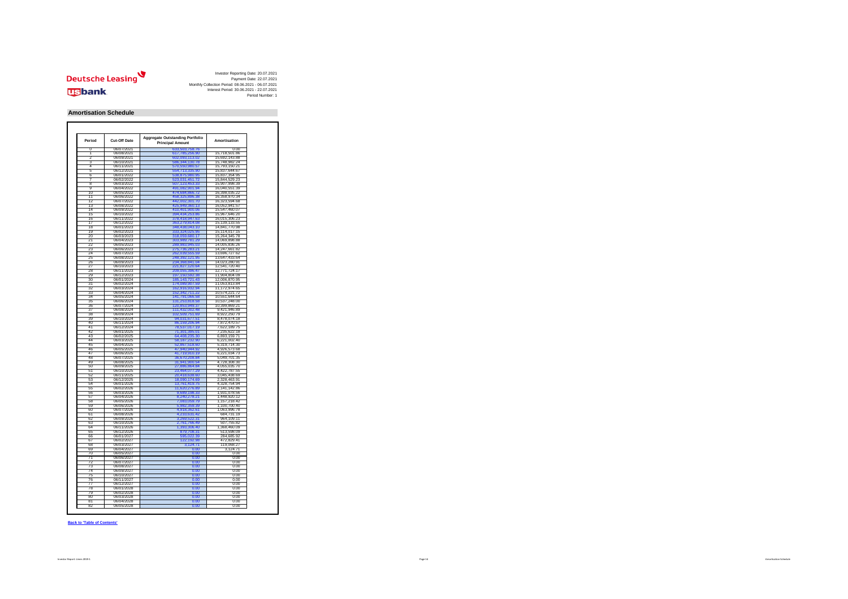

Investor Reporting Date: 20.07.2021 Payment Date: 22.07.2021 Monthly Collection Period: 08.06.2021 - 06.07.2021 Interest Period: 30.06.2021 - 22.07.2021 Period Number: 1

| <b>Period</b><br><b>Cut-Off Date</b> |            | <b>Aggregate Outstanding Portfolio</b><br><b>Principal Amount</b> |               |  |
|--------------------------------------|------------|-------------------------------------------------------------------|---------------|--|
| 0                                    | 06/07/2021 | 633,503,758.76                                                    | 0.00          |  |
| T                                    | 06/08/2021 | 617,785,256.90                                                    | 15,718,501.86 |  |
| 2                                    | 06/09/2021 | 602,093,113.02                                                    | 15,692,143.88 |  |
| 3                                    | 06/10/2021 | 586,344,130.78                                                    | 15,748,982.24 |  |
| 4                                    | 06/11/2021 | 570,550,980.57                                                    | 15,793,150.21 |  |
| 5                                    | 06/12/2021 | 554,713,335.90                                                    | 15,837,644.67 |  |
| 6                                    | 06/01/2022 | 538,875,980.95                                                    | 15,837,354.95 |  |
| 7                                    | 06/02/2022 | 523,031,451.72                                                    | 15,844,529.23 |  |
| 8                                    | 06/03/2022 | 507,123,453.33                                                    | 15,907,998.39 |  |
| 9                                    | 06/04/2022 | 491,082,901.94                                                    | 16,040,551.39 |  |
| 10                                   | 06/05/2022 | 474,684,866.72                                                    | 16,398,035.22 |  |
| 11                                   | 06/06/2022 | 458,325,896.38                                                    | 16,358,970.34 |  |
| 12                                   | 06/07/2022 | 442,002,301.70                                                    | 16,323,594.68 |  |
| 13                                   | 06/08/2022 | 425,949,360.13                                                    | 16,052,941.57 |  |
| 14                                   | 06/09/2022 | 410,401,900.06                                                    | 15,547,460.07 |  |
|                                      |            |                                                                   |               |  |
| 15                                   | 06/10/2022 | 394,434,253.86                                                    | 15,967,646.20 |  |
| 16                                   | 06/11/2022 | 378,418,947.63                                                    | 16,015,306.23 |  |
| 17                                   | 06/12/2022 | 363,279,814.08                                                    | 15,139,133.55 |  |
| 18                                   | 06/01/2023 | 348,438,043.10                                                    | 14,841,770.98 |  |
| 19                                   | 06/02/2023 | 333,324,025.95                                                    | 15,114,017.15 |  |
| 20                                   | 06/03/2023 | 318,059,680.17                                                    | 15,264,345.78 |  |
| 21                                   | 06/04/2023 | 303,989,781.29                                                    | 14,069,898.88 |  |
| 22                                   | 06/05/2023 | 289,983,945.03                                                    | 14,005,836.26 |  |
| 23                                   | 06/06/2023 | 275,736,283.21                                                    | 14,247,661.82 |  |
| 24                                   | 06/07/2023 | 262,039,555.59                                                    | 13,696,727.62 |  |
| 25                                   | 06/08/2023 | 248,392,121.95                                                    | 13,647,433.64 |  |
|                                      |            |                                                                   |               |  |
| 26                                   | 06/09/2023 | 234,368,841.04                                                    | 14,023,280.91 |  |
| 27                                   | 06/10/2023 | 221,827,120.64                                                    | 12,541,720.40 |  |
| 28                                   | 06/11/2023 | 209,055,396.47                                                    | 12,771,724.17 |  |
| 29                                   | 06/12/2023 | 197,150,592.38                                                    | 11,904,804.09 |  |
| 30                                   | 06/01/2024 | 185, 143, 721. 43                                                 | 12,006,870.95 |  |
| 31                                   | 06/02/2024 | 174,089,907.59                                                    | 11,053,813.84 |  |
| 32                                   | 06/03/2024 | 162,916,932.94                                                    | 11,172,974.65 |  |
| 33                                   | 06/04/2024 | 152,342,711.22                                                    | 10,574,221.72 |  |
|                                      |            |                                                                   |               |  |
| 34                                   | 06/05/2024 | 141,791,066.58                                                    | 10,551,644.64 |  |
| 35                                   | 06/06/2024 | 131,253,818.58                                                    | 10,537,248.00 |  |
| 36                                   | 06/07/2024 | 120,853,949.37                                                    | 10,399,869.21 |  |
| 37                                   | 06/08/2024 | 111,432,002.48                                                    | 9,421,946.89  |  |
| 38                                   | 06/09/2024 | 102,509,751.69                                                    | 8,922,250.79  |  |
| 39                                   | 06/10/2024 | 94,031,677.51                                                     | 8,478,074.18  |  |
| 40                                   | 06/11/2024 | 86,159,206.94                                                     | 7,872,470.57  |  |
| 41                                   | 06/12/2024 | 78,537,017.19                                                     | 7,622,189.75  |  |
| 42                                   | 06/01/2025 | 71,301,395.01                                                     | 7,235,622.18  |  |
| 43                                   | 06/02/2025 | 64,408,235.30                                                     | 6,893,159.71  |  |
| 44                                   | 06/03/2025 | 58, 187, 232. 90                                                  | 6,221,002.40  |  |
|                                      | 06/04/2025 |                                                                   |               |  |
| 45                                   |            | 52,867,518.60                                                     | 5,319,714.30  |  |
| 46                                   | 06/05/2025 | 47,940,944.92                                                     | 4,926,573.68  |  |
| 47                                   | 06/06/2025 | 41,719,910.19                                                     | 6,221,034.73  |  |
| 48                                   | 06/07/2025 | 36,670,208.84                                                     | 5,049,701.35  |  |
| 49                                   | 06/08/2025 | 31,941,900.54                                                     | 4,728,308.30  |  |
| 50                                   | 06/09/2025 | 27,886,864.84                                                     | 4,055,035.70  |  |
| 51                                   | 06/10/2025 | 23,464,077.29                                                     | 4,422,787.55  |  |
| 52                                   | 06/11/2025 | 20,418,638.60                                                     | 3,045,438.69  |  |
| 53                                   | 06/12/2025 | 18,090,174.69                                                     | 2,328,463.91  |  |
| 54                                   | 06/01/2026 | 13,761,419.75                                                     | 4,328,754.94  |  |
|                                      |            |                                                                   |               |  |
| 55                                   | 06/02/2026 | 11,620,276.89                                                     | 2,141,142.86  |  |
| 56                                   | 06/03/2026 | 9,689,198.33                                                      | 1,931,078.56  |  |
| 57                                   | 06/04/2026 | 8,240,278.21                                                      | 1,448,920.12  |  |
| 58                                   | 06/05/2026 | 7,083,059.79                                                      | 1,157,218.42  |  |
| 59                                   | 06/06/2026 | 5,982,359.39                                                      | 1,100,700.40  |  |
| 60                                   | 06/07/2026 | 4,918,362.61                                                      | 1,063,996.78  |  |
| 61                                   | 06/08/2026 | 4,233,631.42                                                      | 684,731.19    |  |
| 62                                   | 06/09/2026 | 3,269,522.31                                                      | 964,109.11    |  |
|                                      |            |                                                                   |               |  |
| 63                                   | 06/10/2026 | 2,761,766.49                                                      | 507,755.82    |  |
| 64                                   | 06/11/2026 | 1,393,306.40                                                      | 1,368,460.09  |  |
| 65                                   | 06/12/2026 | 879,708.31                                                        | 513,598.09    |  |
| 66                                   | 06/01/2027 | 595,022.39                                                        | 284,685.92    |  |
| 67                                   | 06/02/2027 | 122,192.98                                                        | 472,829.41    |  |
| 68                                   | 06/03/2027 | 3,124.71                                                          | 119,068.27    |  |
| 69                                   | 06/04/2027 | 0.00                                                              | 3,124.71      |  |
| 70                                   | 06/05/2027 | 0.00                                                              | 0.00          |  |
| 71                                   | 06/06/2027 | 0.00                                                              | 0.00          |  |
|                                      |            |                                                                   |               |  |
| 72                                   | 06/07/2027 | 0.00                                                              | 0.00          |  |
| 73                                   | 06/08/2027 | 0.00                                                              | 0.00          |  |
| 74                                   | 06/09/2027 | <b>U.UU</b>                                                       | 0.00          |  |
| 75                                   | 06/10/2027 | 0.00                                                              | 0.00          |  |
| 76                                   | 06/11/2027 | 0.00                                                              | 0.00          |  |
| 77                                   | 06/12/2027 | 0.00                                                              | 0.00          |  |
| 78                                   | 06/01/2028 | 0.00                                                              | 0.00          |  |
|                                      |            |                                                                   |               |  |
| 79                                   | 06/02/2028 | 0.00                                                              | 0.00          |  |
| 80                                   | 06/03/2028 | 0.00                                                              | 0.00          |  |
| 81                                   | 06/04/2028 | 0.00                                                              | 0.00          |  |
| 82                                   | 06/05/2028 | 0.00                                                              | 0.00          |  |

**Back to 'Table of Contents'**

### **Amortisation Schedule**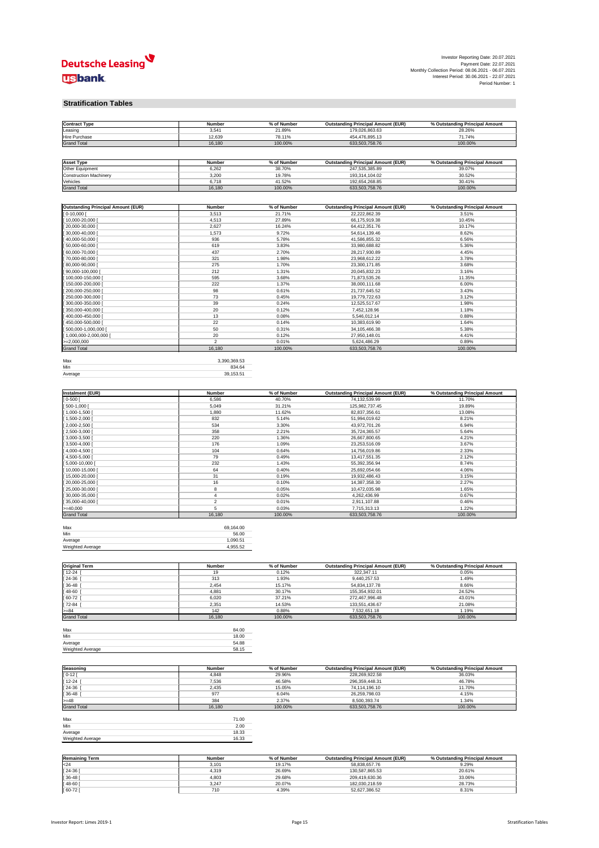

Investor Reporting Date: 20.07.2021 Payment Date: 22.07.2021 Monthly Collection Period: 08.06.2021 - 06.07.2021 Interest Period: 30.06.2021 - 22.07.2021 Period Number: 1

#### **Stratification Tables**

| <b>Contract Type</b> | <b>Number</b> | % of Number | <b>Outstanding Principal Amount (EUR)</b> | % Outstanding Principal Amount |
|----------------------|---------------|-------------|-------------------------------------------|--------------------------------|
| ∟easing              | 3,54'         | 21.89%      | 179,026,863.63                            | 28.26%                         |
| Hire Purchase        | 12,639        | 78.11%      | 454,476,895.13                            | 71.74%                         |
| <b>Grand Total</b>   | 16,180        | 100.00%     | 633,503,758.76                            | 100.00%                        |

| <b>Asset Type</b>      | <b>Number</b> | % of Number | <b>Outstanding Principal Amount (EUR)</b> | % Outstanding Principal Amount |
|------------------------|---------------|-------------|-------------------------------------------|--------------------------------|
| <b>Other Equipment</b> | 6,262         | 38.70%      | 247,535,385.89                            | 39.07%                         |
| Construction Machinery | 3,200         | 19.78%      | 193,314,104.02                            | 30.52%                         |
| Vehicles               | 6.718         | 41.52%      | 192,654,268.85                            | 30.41%                         |
| <b>Grand Total</b>     | 16,180        | 100.00%     | 633,503,758.76                            | 100.00%                        |

| <b>Outstanding Principal Amount (EUR)</b> | <b>Number</b>  | % of Number | <b>Outstanding Principal Amount (EUR)</b> | % Outstanding Principal Amount |
|-------------------------------------------|----------------|-------------|-------------------------------------------|--------------------------------|
| $[0 - 10,000]$                            | 3,513          | 21.71%      | 22,222,862.39                             | 3.51%                          |
| $[10,000-20,000]$                         | 4,513          | 27.89%      | 66,175,919.38                             | 10.45%                         |
| $[20,000-30,000]$                         | 2,627          | 16.24%      | 64,412,351.76                             | 10.17%                         |
| $[30,000-40,000]$                         | 1,573          | 9.72%       | 54,614,139.46                             | 8.62%                          |
| $[40,000-50,000]$                         | 936            | 5.78%       | 41,586,855.32                             | 6.56%                          |
| $[50,000-60,000]$                         | 619            | 3.83%       | 33,980,688.82                             | 5.36%                          |
| [60,000-70,000 [                          | 437            | 2.70%       | 28,217,930.89                             | 4.45%                          |
| [70,000-80,000 [                          | 321            | 1.98%       | 23,968,612.22                             | 3.78%                          |
| $[80,000-90,000]$                         | 275            | 1.70%       | 23,300,171.85                             | 3.68%                          |
| [ 90,000-100,000 [                        | 212            | 1.31%       | 20,045,832.23                             | 3.16%                          |
| [100,000-150,000 [                        | 595            | 3.68%       | 71,873,535.26                             | 11.35%                         |
| [150,000-200,000 [                        | 222            | 1.37%       | 38,000,111.68                             | 6.00%                          |
| [200,000-250,000 [                        | 98             | 0.61%       | 21,737,645.52                             | 3.43%                          |
| $[250,000-300,000]$                       | 73             | 0.45%       | 19,779,722.63                             | 3.12%                          |
| [ 300,000-350,000 [                       | 39             | 0.24%       | 12,525,517.67                             | 1.98%                          |
| [ 350,000-400,000 [                       | 20             | 0.12%       | 7,452,128.96                              | 1.18%                          |
| [400,000-450,000 [                        | 13             | 0.08%       | 5,546,012.14                              | 0.88%                          |
| [450,000-500,000 [                        | 22             | 0.14%       | 10,383,619.90                             | 1.64%                          |
| [ 500,000-1,000,000 [                     | 50             | 0.31%       | 34, 105, 466. 38                          | 5.38%                          |
| $[1,000,000-2,000,000]$                   | 20             | 0.12%       | 27,950,148.01                             | 4.41%                          |
| $>=2,000,000$                             | $\overline{2}$ | 0.01%       | 5,624,486.29                              | 0.89%                          |
| <b>Grand Total</b>                        | 16,180         | 100.00%     | 633,503,758.76                            | 100.00%                        |

| Max     | 3,390,369.53 |
|---------|--------------|
| Min     | 834.64       |
| Average | 39,153.51    |
|         |              |

| <b>Instalment (EUR)</b> | <b>Number</b> | % of Number | <b>Outstanding Principal Amount (EUR)</b> | % Outstanding Principal Amount |
|-------------------------|---------------|-------------|-------------------------------------------|--------------------------------|
| $] 0 - 500 [$           | 6,586         | 40.70%      | 74,132,539.99                             | 11.70%                         |
| $[500-1,000]$           | 5,049         | 31.21%      | 125,982,737.45                            | 19.89%                         |
| $[1,000-1,500]$         | 1,880         | 11.62%      | 82,837,356.61                             | 13.08%                         |
| $[1,500-2,000]$         | 832           | 5.14%       | 51,994,019.62                             | 8.21%                          |
| $[2,000-2,500]$         | 534           | 3.30%       | 43,972,701.26                             | 6.94%                          |
| $[2,500-3,000]$         | 358           | 2.21%       | 35,724,365.57                             | 5.64%                          |
| $[3,000-3,500]$         | 220           | 1.36%       | 26,667,800.65                             | 4.21%                          |
| $[3,500-4,000]$         | 176           | 1.09%       | 23,253,516.09                             | 3.67%                          |
| $[4,000-4,500]$         | 104           | 0.64%       | 14,756,019.86                             | 2.33%                          |
| $[4,500-5,000]$         | 79            | 0.49%       | 13,417,551.35                             | 2.12%                          |
| $[5,000-10,000]$        | 232           | 1.43%       | 55,392,356.94                             | 8.74%                          |
| [10,000-15,000 [        | 64            | 0.40%       | 25,692,054.66                             | 4.06%                          |
| $[15,000-20,000]$       | 31            | 0.19%       | 19,932,486.43                             | 3.15%                          |
| $[20,000-25,000]$       | 16            | 0.10%       | 14,387,358.30                             | 2.27%                          |
| $[25,000-30,000]$       | 8             | 0.05%       | 10,472,035.98                             | 1.65%                          |
| $[30,000-35,000]$       |               | 0.02%       | 4,262,436.99                              | 0.67%                          |
| $[35,000-40,000]$       | 2             | 0.01%       | 2,911,107.88                              | 0.46%                          |
| $>= 40,000$             | 5             | 0.03%       | 7,715,313.13                              | 1.22%                          |
| <b>Grand Total</b>      | 16,180        | 100.00%     | 633,503,758.76                            | 100.00%                        |

| Max                     | 69,164.00 |
|-------------------------|-----------|
| Min                     | 56.00     |
| Average                 | 1,090.51  |
| <b>Weighted Average</b> | 4,955.52  |

| <b>Original Term</b> | <b>Number</b> | % of Number | <b>Outstanding Principal Amount (EUR)</b> | % Outstanding Principal Amount |
|----------------------|---------------|-------------|-------------------------------------------|--------------------------------|
| $12 - 24$            | 19            | 0.12%       | 322,347.11                                | 0.05%                          |
| $24-36$ [            | 313           | 1.93%       | 9,440,257.53                              | 1.49%                          |
| $36-48$              | 2,454         | 15.17%      | 54,834,137.78                             | 8.66%                          |
| $148-60$             | 4,881         | 30.17%      | 155,354,932.01                            | 24.52%                         |
| $[60-72]$            | 6,020         | 37.21%      | 272,467,996.48                            | 43.01%                         |
| 72-84                | 2,351         | 14.53%      | 133,551,436.67                            | 21.08%                         |
| $>= 84$              | 142           | 0.88%       | 7,532,651.18                              | 1.19%                          |
| <b>Grand Total</b>   | 16,180        | 100.00%     | 633,503,758.76                            | 100.00%                        |

| Max              | 84.00 |
|------------------|-------|
| Min              | 18.00 |
| Average          | 54.88 |
| Weighted Average | 58.15 |

| Seasoning          | <b>Number</b> | % of Number | <b>Outstanding Principal Amount (EUR)</b> | % Outstanding Principal Amount |
|--------------------|---------------|-------------|-------------------------------------------|--------------------------------|
| $[0 - 12]$         | 4,848         | 29.96%      | 228,269,922.58                            | 36.03%                         |
| $[12-24]$          | 7,536         | 46.58%      | 296,359,448.31                            | 46.78%                         |
| $[24-36]$          | 2,435         | 15.05%      | 74,114,196.10                             | 11.70%                         |
| $[36 - 48]$        | 977           | 6.04%       | 26,259,798.03                             | 4.15%                          |
| $>= 48$            | 384           | 2.37%       | 8,500,393.74                              | 1.34%                          |
| <b>Grand Total</b> | 16,180        | 100.00%     | 633,503,758.76                            | 100.00%                        |

| Max              | 71.00 |
|------------------|-------|
| Min              | 2.00  |
| Average          | 18.33 |
| Weighted Average | 16.33 |

| <b>Remaining Term</b> | <b>Number</b> | % of Number | <b>Outstanding Principal Amount (EUR)</b> | % Outstanding Principal Amount |
|-----------------------|---------------|-------------|-------------------------------------------|--------------------------------|
| $\mathsf{I}$ <24      | 3,101         | 19.17%      | 58,838,657.76                             | 9.29%                          |
| [24-36]               | 4,319         | 26.69%      | 130,587,865.53                            | 20.61%                         |
| $[36 - 48]$           | 4,803         | 29.68%      | 209,419,630.36                            | 33.06%                         |
| $[48-60]$             | 3,247         | 20.07%      | 182,030,218.59                            | 28.73%                         |
| $[60-72]$             | 710           | 4.39%       | 52,627,386.52                             | 8.31%                          |





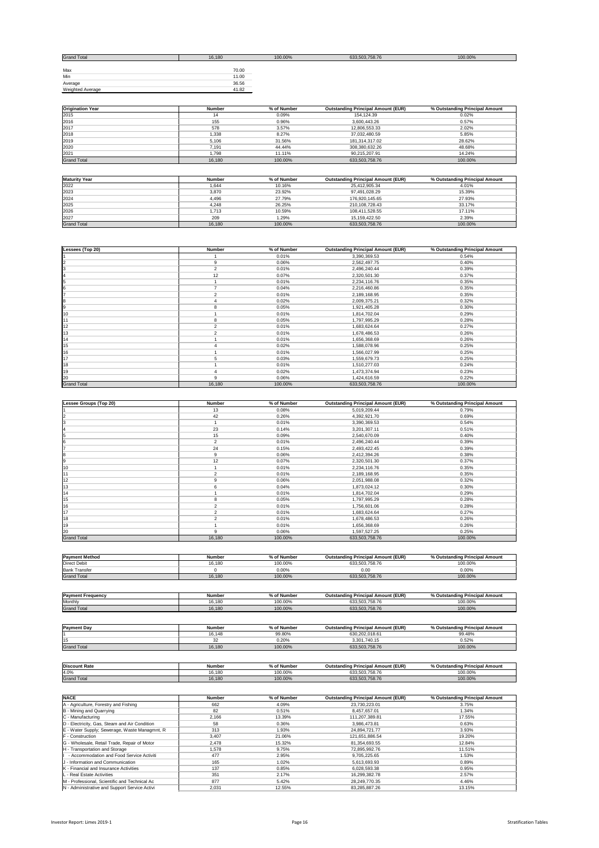| <b>Grand Total</b>      | 16,180 | 100.00% | 633,503,758.76 | 100.00% |
|-------------------------|--------|---------|----------------|---------|
|                         |        |         |                |         |
| Max                     | 70.00  |         |                |         |
| Min                     | 11.00  |         |                |         |
| Average                 | 36.56  |         |                |         |
| <b>Weighted Average</b> | 41.82  |         |                |         |

| <b>Origination Year</b> | <b>Number</b> | % of Number | <b>Outstanding Principal Amount (EUR)</b> | % Outstanding Principal Amount |
|-------------------------|---------------|-------------|-------------------------------------------|--------------------------------|
| 2015                    | 14            | 0.09%       | 154,124.39                                | 0.02%                          |
| 2016                    | 155           | 0.96%       | 3,600,443.26                              | 0.57%                          |
| 2017                    | 578           | 3.57%       | 12,806,553.33                             | 2.02%                          |
| 2018                    | 1,338         | 8.27%       | 37,032,480.59                             | 5.85%                          |
| 2019                    | 5,106         | 31.56%      | 181,314,317.02                            | 28.62%                         |
| 2020                    | 7,191         | 44.44%      | 308,380,632.26                            | 48.68%                         |
| 2021                    | .798،         | 11.11%      | 90,215,207.91                             | 14.24%                         |
| <b>Grand Total</b>      | 16,180        | 100.00%     | 633,503,758.76                            | 100.00%                        |

| <b>Maturity Year</b> | <b>Number</b> | % of Number | <b>Outstanding Principal Amount (EUR)</b> | % Outstanding Principal Amount |
|----------------------|---------------|-------------|-------------------------------------------|--------------------------------|
| 2022                 | 1,644         | 10.16%      | 25,412,905.34                             | 4.01%                          |
| 2023                 | 3,870         | 23.92%      | 97,491,028.29                             | 15.39%                         |
| 2024                 | 4,496         | 27.79%      | 176,920,145.65                            | 27.93%                         |
| 2025                 | 4,248         | 26.25%      | 210,108,728.43                            | 33.17%                         |
| 2026                 | 1,713         | 10.59%      | 108,411,528.55                            | 17.11%                         |
| 2027                 | 209           | 1.29%       | 15,159,422.50                             | 2.39%                          |
| <b>Grand Total</b>   | 16,180        | 100.00%     | 633,503,758.76                            | 100.00%                        |

| Lessees (Top 20)   | <b>Number</b>  | % of Number | <b>Outstanding Principal Amount (EUR)</b> | % Outstanding Principal Amount |
|--------------------|----------------|-------------|-------------------------------------------|--------------------------------|
|                    |                | 0.01%       | 3,390,369.53                              | 0.54%                          |
|                    | 9              | 0.06%       | 2,562,497.75                              | 0.40%                          |
|                    | $\overline{2}$ | 0.01%       | 2,496,240.44                              | 0.39%                          |
|                    | 12             | 0.07%       | 2,320,501.30                              | 0.37%                          |
|                    |                | 0.01%       | 2,234,116.76                              | 0.35%                          |
|                    |                | 0.04%       | 2,216,460.86                              | 0.35%                          |
|                    | 2              | 0.01%       | 2,189,168.95                              | 0.35%                          |
|                    |                | 0.02%       | 2,009,375.21                              | 0.32%                          |
|                    | 8              | 0.05%       | 1,921,405.28                              | 0.30%                          |
| 10                 |                | 0.01%       | 1,814,702.04                              | 0.29%                          |
| 11                 | 8              | 0.05%       | 1,797,995.29                              | 0.28%                          |
| 12                 | 2              | 0.01%       | 1,683,624.64                              | 0.27%                          |
| 13                 | 2              | 0.01%       | 1,678,486.53                              | 0.26%                          |
| 14                 |                | 0.01%       | 1,656,368.69                              | 0.26%                          |
| 15                 |                | 0.02%       | 1,588,078.96                              | 0.25%                          |
| 16                 |                | 0.01%       | 1,566,027.99                              | 0.25%                          |
| 17                 | 5              | 0.03%       | 1,559,679.73                              | 0.25%                          |
| 18                 |                | 0.01%       | 1,510,277.03                              | 0.24%                          |
| 19                 |                | 0.02%       | 1,473,374.94                              | 0.23%                          |
| 20                 | 9              | 0.06%       | 1,424,616.59                              | 0.22%                          |
| <b>Grand Total</b> | 16,180         | 100.00%     | 633,503,758.76                            | 100.00%                        |

| <b>Amount (EUR)</b><br>.201<br><b>Numbe</b><br>Princ.<br>'Amoun<br>.<br>Outs<br>---<br>.<br>Numbe<br><i>'</i> rıncıpaı<br>וומחי"<br>standind<br>_esser<br>0<br>rnı<br>.<br>>tan⊾<br>unio – |  |  |  |
|--------------------------------------------------------------------------------------------------------------------------------------------------------------------------------------------|--|--|--|
|                                                                                                                                                                                            |  |  |  |

| <b>Direct Debit</b>   | 16.180         | 100,00%     | 633 503 758 76                            | 100 00%                        |
|-----------------------|----------------|-------------|-------------------------------------------|--------------------------------|
| <b>Payment Method</b> | <b>Number</b>  | % of Number | <b>Outstanding Principal Amount (EUR)</b> | % Outstanding Principal Amount |
|                       |                |             |                                           |                                |
| <b>Grand Total</b>    | 16,180         | 100.00%     | 633,503,758.76                            | 100.00%                        |
| 20                    | 9              | 0.06%       | 1,597,527.25                              | 0.25%                          |
| 19                    |                | 0.01%       | 1,656,368.69                              | 0.26%                          |
| 18                    |                | 0.01%       | 1,678,486.53                              | 0.26%                          |
| 17                    | $\overline{2}$ | 0.01%       | 1,683,624.64                              | 0.27%                          |
| 16                    | $\overline{2}$ | 0.01%       | 1,756,601.06                              | 0.28%                          |
| 15                    | 8              | 0.05%       | 1,797,995.29                              | 0.28%                          |
| 14                    |                | 0.01%       | 1,814,702.04                              | 0.29%                          |
| 13                    | 6              | 0.04%       | 1,873,024.12                              | 0.30%                          |
| 12                    |                | 0.06%       | 2,051,988.08                              | 0.32%                          |
| 11                    | $\overline{2}$ | 0.01%       | 2,189,168.95                              | 0.35%                          |
| 10                    |                | 0.01%       | 2,234,116.76                              | 0.35%                          |
| 9                     | 12             | 0.07%       | 2,320,501.30                              | 0.37%                          |
| 8                     | 9              | 0.06%       | 2,412,394.26                              | 0.38%                          |
| 17                    | 24             | 0.15%       | 2,493,422.45                              | 0.39%                          |
| 6                     | $\overline{2}$ | 0.01%       | 2,496,240.44                              | 0.39%                          |
| 5                     | 15             | 0.09%       | 2,540,670.09                              | 0.40%                          |
| 14                    | 23             | 0.14%       | 3,201,307.11                              | 0.51%                          |
| 3                     |                | 0.01%       | 3,390,369.53                              | 0.54%                          |
| 2                     | 42             | 0.26%       | 4,392,921.70                              | 0.69%                          |
| l 1                   | 13             | 0.08%       | 5,019,209.44                              | 0.79%                          |

| <b>IFAYILEIIL MELIIUU</b> | <b>INGHIDE</b> | 70 OI INUITIDEI | <b>Outstanding Principal Alliount (EUR)</b> | % Outstanding Frincipal Amount |
|---------------------------|----------------|-----------------|---------------------------------------------|--------------------------------|
| <b>Direct Debit</b>       | 16,180         | 100.00%         | 633,503,758.76                              | 100.00%                        |
| <b>Bank Transfer</b>      |                | $0.00\%$        | 0.00                                        | 0.00<br>U.UU%                  |
| <b>Grand Total</b>        | 16,180         | 100.00%         | 633,503,758.76                              | 100.00%                        |

| Payment<br>. Frequency | <b>Number</b> | $\sim$ $\sim$ $\sim$ $\sim$<br>. Number | <b>Outstanding Principal Amount (EUR)</b> | % Ou<br>cipal Amount<br>utstanding Princi |
|------------------------|---------------|-----------------------------------------|-------------------------------------------|-------------------------------------------|
| Monthly                | 16,180        | 100.00%                                 | $-7507$<br>633,503,758.76                 | 100.00%                                   |
| <b>Grand Total</b>     | 16,180        | 100.00%                                 | 633,503,758.76                            | 100.00%                                   |

| <b>Payment Day</b> | <b>Number</b> | % of Number | <b>Outstanding Principal Amount (EUR)</b> | % Outstanding Principal Amount |
|--------------------|---------------|-------------|-------------------------------------------|--------------------------------|
|                    | 16,148        | 99.80%      | 630,202,018.61                            | 99.48%                         |
| 15                 |               | 0.20%       | 3,301,740.15                              | 0.52%                          |
| <b>Grand Total</b> | 16,180        | 100.00%     | 633,503,758.76                            | 100.00%                        |

| <b>Discount Rate</b> | <b>Number</b> | 6 of Number | <b>Outstanding Principal Amount (EUR)</b> | % Outstanding Principal Amount |
|----------------------|---------------|-------------|-------------------------------------------|--------------------------------|
| 4.0%                 | 16,180        | 100.00%     | 633,503,758.76                            | 100.00%                        |
| <b>Grand Total</b>   | 16,180        | 100.00%     | 633,503,758.76                            | 100.00%                        |

| <b>NACE</b>                                   | <b>Number</b> | % of Number | <b>Outstanding Principal Amount (EUR)</b> | % Outstanding Principal Amount |
|-----------------------------------------------|---------------|-------------|-------------------------------------------|--------------------------------|
| A - Agriculture, Forestry and Fishing         | 662           | 4.09%       | 23,730,223.01                             | 3.75%                          |
| B - Mining and Quarrying                      | 82            | 0.51%       | 8,457,657.01                              | 1.34%                          |
| $ C -$ Manufacturing                          | 2,166         | 13.39%      | 111,207,389.81                            | 17.55%                         |
| D - Electricity, Gas, Steam and Air Condition | 58            | 0.36%       | 3,986,473.81                              | 0.63%                          |
| E - Water Supply; Sewerage, Waste Managmnt, R | 313           | 1.93%       | 24,894,721.77                             | 3.93%                          |
| <b>F</b> - Construction                       | 3,407         | 21.06%      | 121,651,886.54                            | 19.20%                         |
| G - Wholesale, Retail Trade, Repair of Motor  | 2,478         | 15.32%      | 81,354,693.55                             | 12.84%                         |
| H - Transportation and Storage                | 1,578         | 9.75%       | 72,895,992.76                             | 11.51%                         |
| - Accommodation and Food Service Activiti     | 477           | 2.95%       | 9,705,225.65                              | 1.53%                          |
| J - Information and Communication             | 165           | 1.02%       | 5,613,693.93                              | 0.89%                          |
| K - Financial and Insurance Activities        | 137           | 0.85%       | 6,028,593.38                              | 0.95%                          |
| L - Real Estate Activities                    | 351           | 2.17%       | 16,299,382.78                             | 2.57%                          |
| M - Professional, Scientific and Technical Ac | 877           | 5.42%       | 28,249,770.35                             | 4.46%                          |
| N - Administrative and Support Service Activi | 2,031         | 12.55%      | 83,285,887.26                             | 13.15%                         |





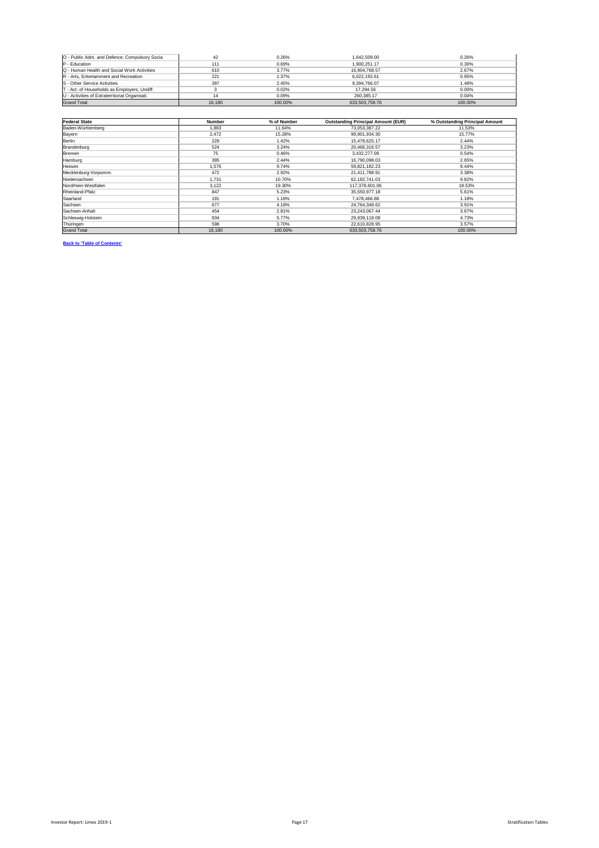| O - Public Adm. and Defence; Compulsory Socia | 42     | 0.26%   | 1,642,509.00   | 0.26%   |
|-----------------------------------------------|--------|---------|----------------|---------|
| $P - Education$                               | 111    | 0.69%   | 1,900,251.17   | 0.30%   |
| Q - Human Health and Social Work Activities   | 610    | 3.77%   | 16,904,768.57  | 2.67%   |
| R - Arts, Entertainment and Recreation        | 221    | 1.37%   | 6,022,192.61   | 0.95%   |
| <b>S</b> - Other Service Activities           | 397    | 2.45%   | 9,394,766.07   | 1.48%   |
| T - Act. of Households as Employers; Undiff.  |        | 0.02%   | 17,294.56      | 0.00%   |
| U - Activities of Extraterritorial Organisati |        | 0.09%   | 260,385.17     | 0.04%   |
| <b>Grand Total</b>                            | 16,180 | 100.00% | 633,503,758.76 | 100.00% |

| <b>Federal State</b> | <b>Number</b> | % of Number | <b>Outstanding Principal Amount (EUR)</b> | % Outstanding Principal Amount |
|----------------------|---------------|-------------|-------------------------------------------|--------------------------------|
| Baden-Württemberg    | 1,883         | 11.64%      | 73,053,387.22                             | 11.53%                         |
| <b>Bayern</b>        | 2,472         | 15.28%      | 99,901,934.30                             | 15.77%                         |
| <b>Berlin</b>        | 229           | 1.42%       | 15,478,625.17                             | 2.44%                          |
| Brandenburg          | 524           | 3.24%       | 20,466,316.57                             | 3.23%                          |
| Bremen               | 75            | 0.46%       | 3,432,277.09                              | 0.54%                          |
| Hamburg              | 395           | 2.44%       | 16,790,098.03                             | 2.65%                          |
| Hessen               | 1,576         | 9.74%       | 59,821,182.23                             | 9.44%                          |
| Mecklenburg-Vorpomm. | 472           | 2.92%       | 21,411,788.91                             | 3.38%                          |
| Niedersachsen        | 1,731         | 10.70%      | 62, 182, 741.03                           | 9.82%                          |
| Nordrhein-Westfalen  | 3,122         | 19.30%      | 117,378,601.06                            | 18.53%                         |
| Rheinland-Pfalz      | 847           | 5.23%       | 35,550,977.18                             | 5.61%                          |
| Saarland             | 191           | 1.18%       | 7,478,466.88                              | 1.18%                          |
| Sachsen              | 677           | 4.18%       | 24,764,348.62                             | 3.91%                          |
| Sachsen-Anhalt       | 454           | 2.81%       | 23,243,067.44                             | 3.67%                          |
| Schleswig-Holstein   | 934           | 5.77%       | 29,939,118.08                             | 4.73%                          |
| Thüringen            | 598           | 3.70%       | 22,610,828.95                             | 3.57%                          |
| <b>Grand Total</b>   | 16,180        | 100.00%     | 633,503,758.76                            | 100.00%                        |

**Back to 'Table of Contents'**